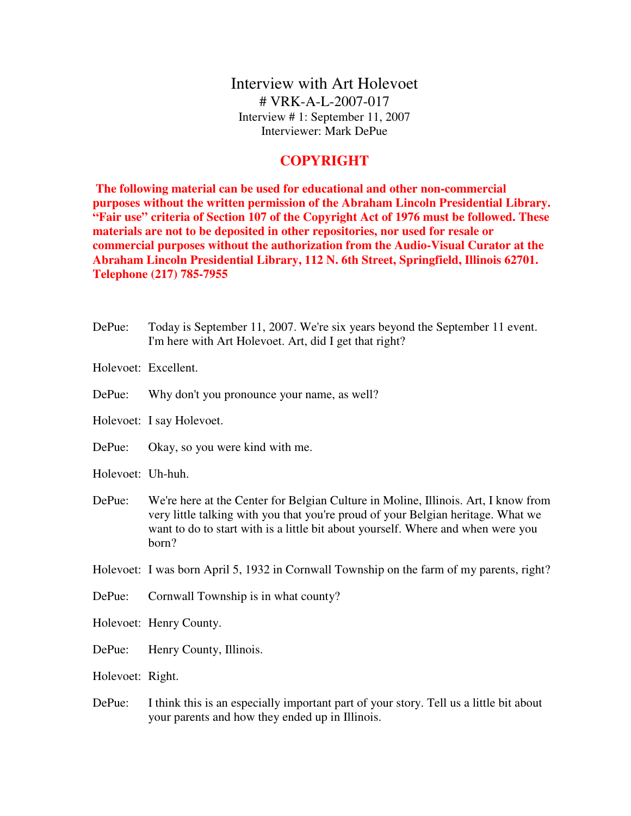Interview with Art Holevoet # VRK-A-L-2007-017 Interview # 1: September 11, 2007 Interviewer: Mark DePue

## **COPYRIGHT**

 **The following material can be used for educational and other non-commercial purposes without the written permission of the Abraham Lincoln Presidential Library. "Fair use" criteria of Section 107 of the Copyright Act of 1976 must be followed. These materials are not to be deposited in other repositories, nor used for resale or commercial purposes without the authorization from the Audio-Visual Curator at the Abraham Lincoln Presidential Library, 112 N. 6th Street, Springfield, Illinois 62701. Telephone (217) 785-7955**

- DePue: Today is September 11, 2007. We're six years beyond the September 11 event. I'm here with Art Holevoet. Art, did I get that right? Holevoet: Excellent. DePue: Why don't you pronounce your name, as well? Holevoet: I say Holevoet. DePue: Okay, so you were kind with me. Holevoet: Uh-huh. DePue: We're here at the Center for Belgian Culture in Moline, Illinois. Art, I know from very little talking with you that you're proud of your Belgian heritage. What we want to do to start with is a little bit about yourself. Where and when were you born? Holevoet: I was born April 5, 1932 in Cornwall Township on the farm of my parents, right? DePue: Cornwall Township is in what county? Holevoet: Henry County. DePue: Henry County, Illinois. Holevoet: Right. DePue: I think this is an especially important part of your story. Tell us a little bit about
	- your parents and how they ended up in Illinois.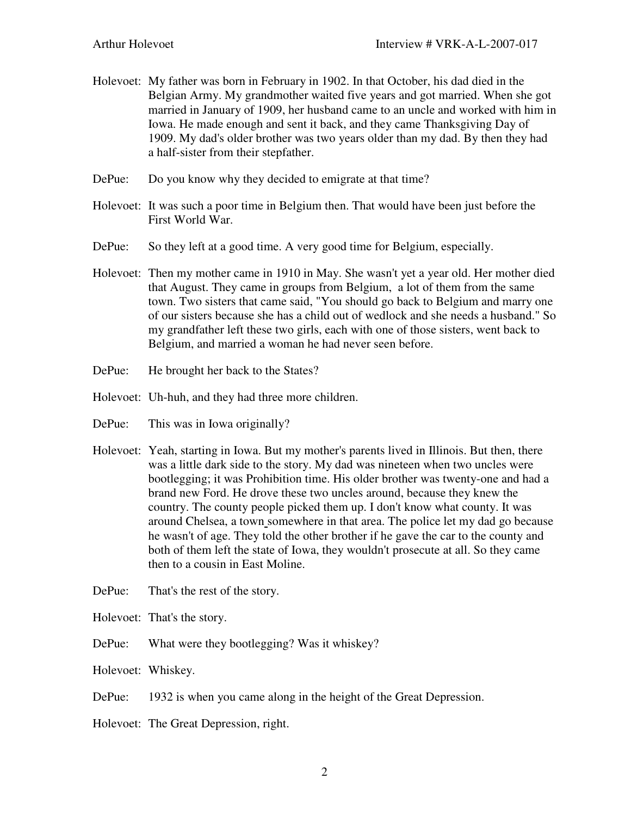- Holevoet: My father was born in February in 1902. In that October, his dad died in the Belgian Army. My grandmother waited five years and got married. When she got married in January of 1909, her husband came to an uncle and worked with him in Iowa. He made enough and sent it back, and they came Thanksgiving Day of 1909. My dad's older brother was two years older than my dad. By then they had a half-sister from their stepfather.
- DePue: Do you know why they decided to emigrate at that time?
- Holevoet: It was such a poor time in Belgium then. That would have been just before the First World War.
- DePue: So they left at a good time. A very good time for Belgium, especially.
- Holevoet: Then my mother came in 1910 in May. She wasn't yet a year old. Her mother died that August. They came in groups from Belgium, a lot of them from the same town. Two sisters that came said, "You should go back to Belgium and marry one of our sisters because she has a child out of wedlock and she needs a husband." So my grandfather left these two girls, each with one of those sisters, went back to Belgium, and married a woman he had never seen before.
- DePue: He brought her back to the States?
- Holevoet: Uh-huh, and they had three more children.
- DePue: This was in Iowa originally?
- Holevoet: Yeah, starting in Iowa. But my mother's parents lived in Illinois. But then, there was a little dark side to the story. My dad was nineteen when two uncles were bootlegging; it was Prohibition time. His older brother was twenty-one and had a brand new Ford. He drove these two uncles around, because they knew the country. The county people picked them up. I don't know what county. It was around Chelsea, a town somewhere in that area. The police let my dad go because he wasn't of age. They told the other brother if he gave the car to the county and both of them left the state of Iowa, they wouldn't prosecute at all. So they came then to a cousin in East Moline.
- DePue: That's the rest of the story.
- Holevoet: That's the story.
- DePue: What were they bootlegging? Was it whiskey?
- Holevoet: Whiskey.
- DePue: 1932 is when you came along in the height of the Great Depression.
- Holevoet: The Great Depression, right.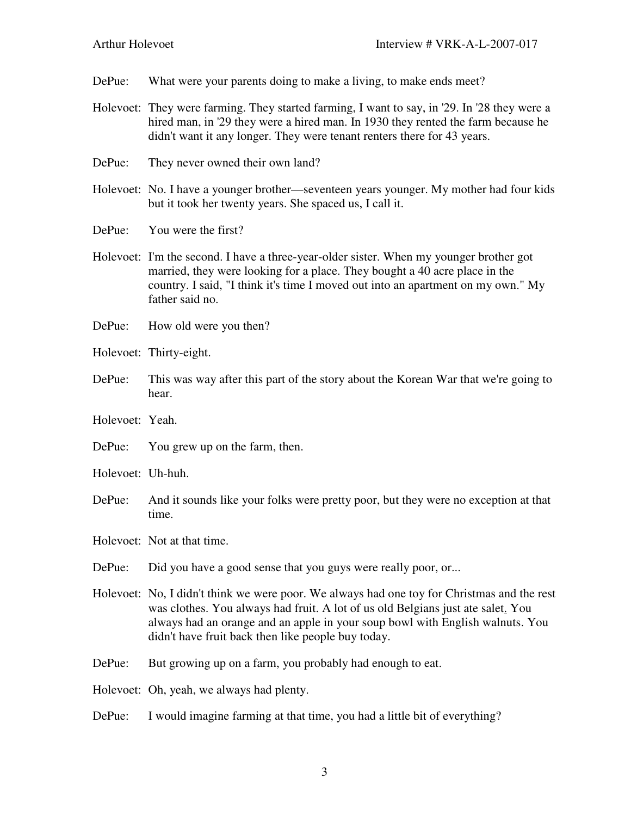DePue: What were your parents doing to make a living, to make ends meet?

- Holevoet: They were farming. They started farming, I want to say, in '29. In '28 they were a hired man, in '29 they were a hired man. In 1930 they rented the farm because he didn't want it any longer. They were tenant renters there for 43 years.
- DePue: They never owned their own land?
- Holevoet: No. I have a younger brother—seventeen years younger. My mother had four kids but it took her twenty years. She spaced us, I call it.
- DePue: You were the first?
- Holevoet: I'm the second. I have a three-year-older sister. When my younger brother got married, they were looking for a place. They bought a 40 acre place in the country. I said, "I think it's time I moved out into an apartment on my own." My father said no.
- DePue: How old were you then?
- Holevoet: Thirty-eight.
- DePue: This was way after this part of the story about the Korean War that we're going to hear.
- Holevoet: Yeah.
- DePue: You grew up on the farm, then.
- Holevoet: Uh-huh.
- DePue: And it sounds like your folks were pretty poor, but they were no exception at that time.

Holevoet: Not at that time.

- DePue: Did you have a good sense that you guys were really poor, or...
- Holevoet: No, I didn't think we were poor. We always had one toy for Christmas and the rest was clothes. You always had fruit. A lot of us old Belgians just ate salet. You always had an orange and an apple in your soup bowl with English walnuts. You didn't have fruit back then like people buy today.
- DePue: But growing up on a farm, you probably had enough to eat.

Holevoet: Oh, yeah, we always had plenty.

DePue: I would imagine farming at that time, you had a little bit of everything?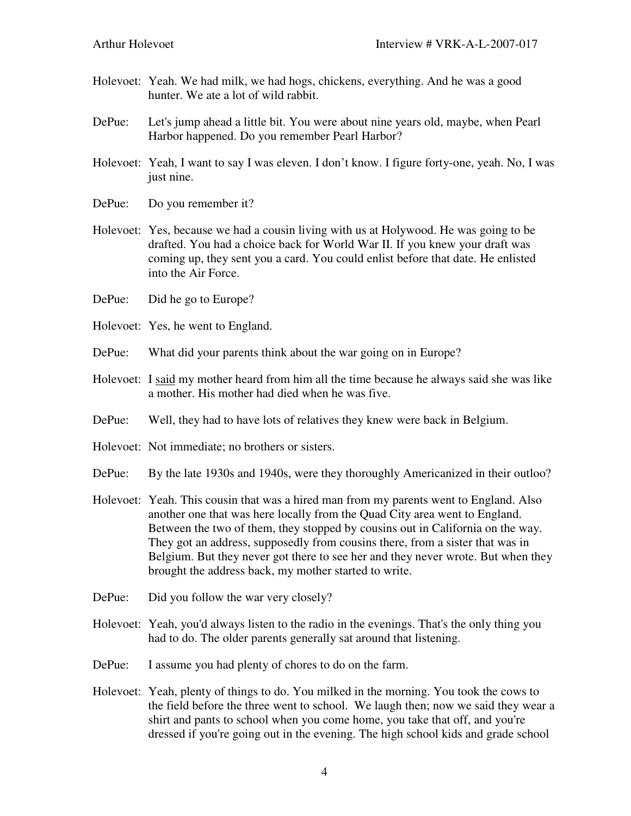- Holevoet: Yeah. We had milk, we had hogs, chickens, everything. And he was a good hunter. We ate a lot of wild rabbit.
- DePue: Let's jump ahead a little bit. You were about nine years old, maybe, when Pearl Harbor happened. Do you remember Pearl Harbor?
- Holevoet: Yeah, I want to say I was eleven. I don't know. I figure forty-one, yeah. No, I was just nine.
- DePue: Do you remember it?
- Holevoet: Yes, because we had a cousin living with us at Holywood. He was going to be drafted. You had a choice back for World War II. If you knew your draft was coming up, they sent you a card. You could enlist before that date. He enlisted into the Air Force.
- DePue: Did he go to Europe?
- Holevoet: Yes, he went to England.
- DePue: What did your parents think about the war going on in Europe?
- Holevoet: I said my mother heard from him all the time because he always said she was like a mother. His mother had died when he was five.
- DePue: Well, they had to have lots of relatives they knew were back in Belgium.
- Holevoet: Not immediate; no brothers or sisters.
- DePue: By the late 1930s and 1940s, were they thoroughly Americanized in their outloo?
- Holevoet: Yeah. This cousin that was a hired man from my parents went to England. Also another one that was here locally from the Quad City area went to England. Between the two of them, they stopped by cousins out in California on the way. They got an address, supposedly from cousins there, from a sister that was in Belgium. But they never got there to see her and they never wrote. But when they brought the address back, my mother started to write.
- DePue: Did you follow the war very closely?
- Holevoet: Yeah, you'd always listen to the radio in the evenings. That's the only thing you had to do. The older parents generally sat around that listening.
- DePue: I assume you had plenty of chores to do on the farm.
- Holevoet: Yeah, plenty of things to do. You milked in the morning. You took the cows to the field before the three went to school. We laugh then; now we said they wear a shirt and pants to school when you come home, you take that off, and you're dressed if you're going out in the evening. The high school kids and grade school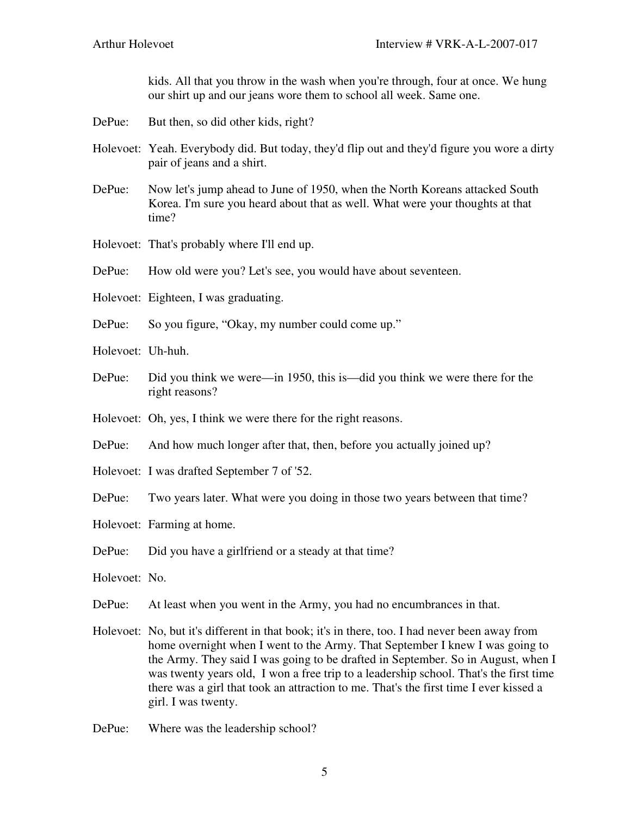kids. All that you throw in the wash when you're through, four at once. We hung our shirt up and our jeans wore them to school all week. Same one.

- DePue: But then, so did other kids, right?
- Holevoet: Yeah. Everybody did. But today, they'd flip out and they'd figure you wore a dirty pair of jeans and a shirt.
- DePue: Now let's jump ahead to June of 1950, when the North Koreans attacked South Korea. I'm sure you heard about that as well. What were your thoughts at that time?
- Holevoet: That's probably where I'll end up.
- DePue: How old were you? Let's see, you would have about seventeen.
- Holevoet: Eighteen, I was graduating.
- DePue: So you figure, "Okay, my number could come up."
- Holevoet: Uh-huh.
- DePue: Did you think we were—in 1950, this is—did you think we were there for the right reasons?
- Holevoet: Oh, yes, I think we were there for the right reasons.
- DePue: And how much longer after that, then, before you actually joined up?
- Holevoet: I was drafted September 7 of '52.
- DePue: Two years later. What were you doing in those two years between that time?
- Holevoet: Farming at home.
- DePue: Did you have a girlfriend or a steady at that time?
- Holevoet: No.
- DePue: At least when you went in the Army, you had no encumbrances in that.
- Holevoet: No, but it's different in that book; it's in there, too. I had never been away from home overnight when I went to the Army. That September I knew I was going to the Army. They said I was going to be drafted in September. So in August, when I was twenty years old, I won a free trip to a leadership school. That's the first time there was a girl that took an attraction to me. That's the first time I ever kissed a girl. I was twenty.
- DePue: Where was the leadership school?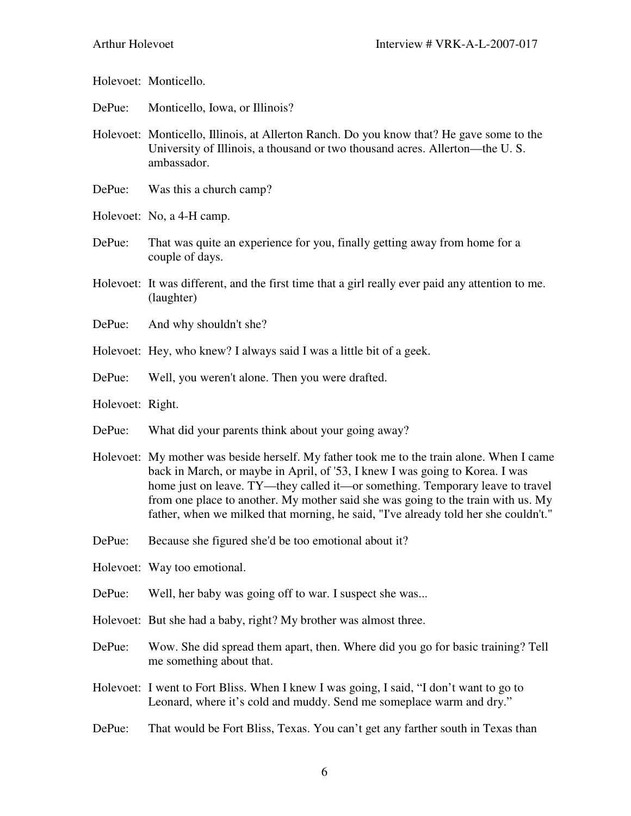Holevoet: Monticello.

- DePue: Monticello, Iowa, or Illinois?
- Holevoet: Monticello, Illinois, at Allerton Ranch. Do you know that? He gave some to the University of Illinois, a thousand or two thousand acres. Allerton—the U. S. ambassador.
- DePue: Was this a church camp?
- Holevoet: No, a 4-H camp.
- DePue: That was quite an experience for you, finally getting away from home for a couple of days.
- Holevoet: It was different, and the first time that a girl really ever paid any attention to me. (laughter)
- DePue: And why shouldn't she?
- Holevoet: Hey, who knew? I always said I was a little bit of a geek.
- DePue: Well, you weren't alone. Then you were drafted.
- Holevoet: Right.
- DePue: What did your parents think about your going away?
- Holevoet: My mother was beside herself. My father took me to the train alone. When I came back in March, or maybe in April, of '53, I knew I was going to Korea. I was home just on leave. TY—they called it—or something. Temporary leave to travel from one place to another. My mother said she was going to the train with us. My father, when we milked that morning, he said, "I've already told her she couldn't."
- DePue: Because she figured she'd be too emotional about it?
- Holevoet: Way too emotional.
- DePue: Well, her baby was going off to war. I suspect she was...
- Holevoet: But she had a baby, right? My brother was almost three.
- DePue: Wow. She did spread them apart, then. Where did you go for basic training? Tell me something about that.
- Holevoet: I went to Fort Bliss. When I knew I was going, I said, "I don't want to go to Leonard, where it's cold and muddy. Send me someplace warm and dry."
- DePue: That would be Fort Bliss, Texas. You can't get any farther south in Texas than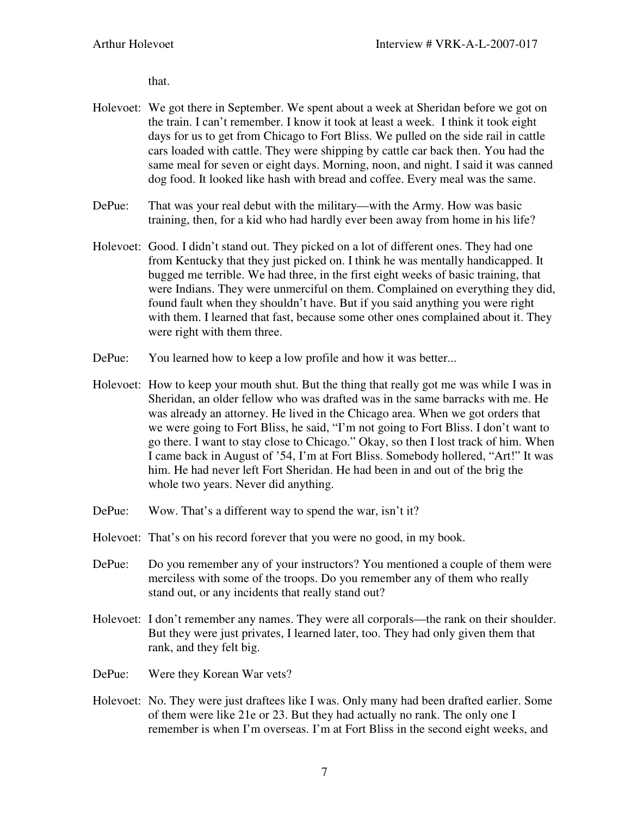that.

- Holevoet: We got there in September. We spent about a week at Sheridan before we got on the train. I can't remember. I know it took at least a week. I think it took eight days for us to get from Chicago to Fort Bliss. We pulled on the side rail in cattle cars loaded with cattle. They were shipping by cattle car back then. You had the same meal for seven or eight days. Morning, noon, and night. I said it was canned dog food. It looked like hash with bread and coffee. Every meal was the same.
- DePue: That was your real debut with the military—with the Army. How was basic training, then, for a kid who had hardly ever been away from home in his life?
- Holevoet: Good. I didn't stand out. They picked on a lot of different ones. They had one from Kentucky that they just picked on. I think he was mentally handicapped. It bugged me terrible. We had three, in the first eight weeks of basic training, that were Indians. They were unmerciful on them. Complained on everything they did, found fault when they shouldn't have. But if you said anything you were right with them. I learned that fast, because some other ones complained about it. They were right with them three.
- DePue: You learned how to keep a low profile and how it was better...
- Holevoet: How to keep your mouth shut. But the thing that really got me was while I was in Sheridan, an older fellow who was drafted was in the same barracks with me. He was already an attorney. He lived in the Chicago area. When we got orders that we were going to Fort Bliss, he said, "I'm not going to Fort Bliss. I don't want to go there. I want to stay close to Chicago." Okay, so then I lost track of him. When I came back in August of '54, I'm at Fort Bliss. Somebody hollered, "Art!" It was him. He had never left Fort Sheridan. He had been in and out of the brig the whole two years. Never did anything.
- DePue: Wow. That's a different way to spend the war, isn't it?
- Holevoet: That's on his record forever that you were no good, in my book.
- DePue: Do you remember any of your instructors? You mentioned a couple of them were merciless with some of the troops. Do you remember any of them who really stand out, or any incidents that really stand out?
- Holevoet: I don't remember any names. They were all corporals—the rank on their shoulder. But they were just privates, I learned later, too. They had only given them that rank, and they felt big.
- DePue: Were they Korean War vets?
- Holevoet: No. They were just draftees like I was. Only many had been drafted earlier. Some of them were like 21e or 23. But they had actually no rank. The only one I remember is when I'm overseas. I'm at Fort Bliss in the second eight weeks, and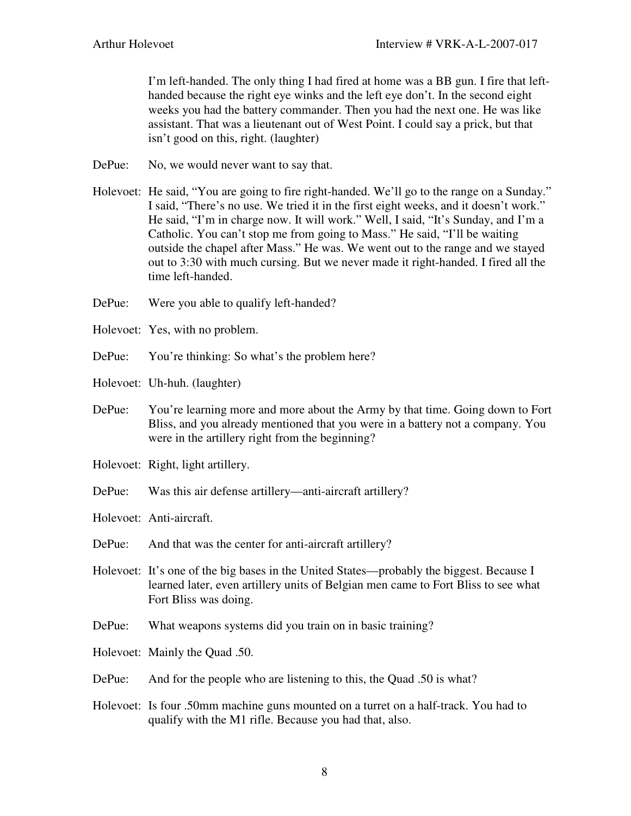I'm left-handed. The only thing I had fired at home was a BB gun. I fire that lefthanded because the right eye winks and the left eye don't. In the second eight weeks you had the battery commander. Then you had the next one. He was like assistant. That was a lieutenant out of West Point. I could say a prick, but that isn't good on this, right. (laughter)

- DePue: No, we would never want to say that.
- Holevoet: He said, "You are going to fire right-handed. We'll go to the range on a Sunday." I said, "There's no use. We tried it in the first eight weeks, and it doesn't work." He said, "I'm in charge now. It will work." Well, I said, "It's Sunday, and I'm a Catholic. You can't stop me from going to Mass." He said, "I'll be waiting outside the chapel after Mass." He was. We went out to the range and we stayed out to 3:30 with much cursing. But we never made it right-handed. I fired all the time left-handed.
- DePue: Were you able to qualify left-handed?
- Holevoet: Yes, with no problem.
- DePue: You're thinking: So what's the problem here?
- Holevoet: Uh-huh. (laughter)
- DePue: You're learning more and more about the Army by that time. Going down to Fort Bliss, and you already mentioned that you were in a battery not a company. You were in the artillery right from the beginning?
- Holevoet: Right, light artillery.
- DePue: Was this air defense artillery—anti-aircraft artillery?
- Holevoet: Anti-aircraft.
- DePue: And that was the center for anti-aircraft artillery?
- Holevoet: It's one of the big bases in the United States—probably the biggest. Because I learned later, even artillery units of Belgian men came to Fort Bliss to see what Fort Bliss was doing.
- DePue: What weapons systems did you train on in basic training?
- Holevoet: Mainly the Quad .50.
- DePue: And for the people who are listening to this, the Quad .50 is what?
- Holevoet: Is four .50mm machine guns mounted on a turret on a half-track. You had to qualify with the M1 rifle. Because you had that, also.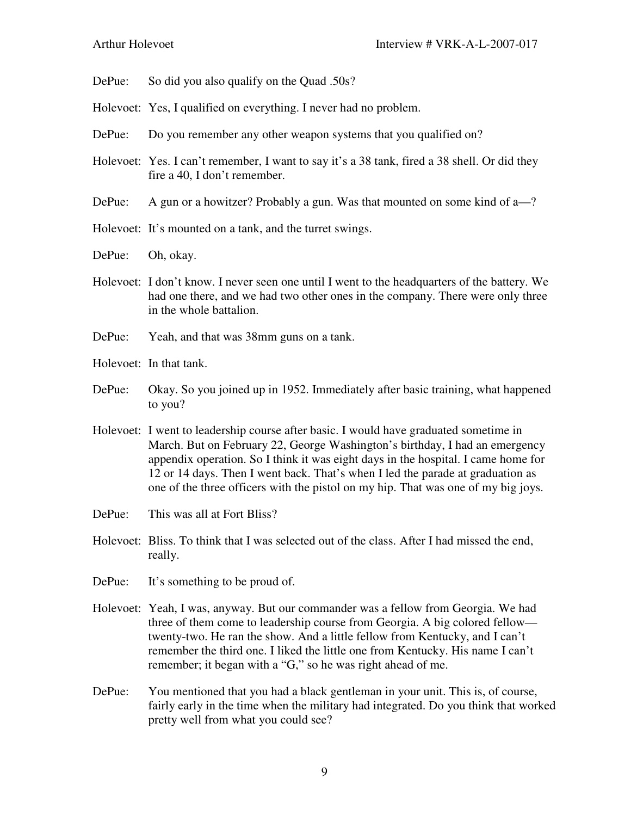DePue: So did you also qualify on the Quad .50s?

- Holevoet: Yes, I qualified on everything. I never had no problem.
- DePue: Do you remember any other weapon systems that you qualified on?
- Holevoet: Yes. I can't remember, I want to say it's a 38 tank, fired a 38 shell. Or did they fire a 40, I don't remember.
- DePue: A gun or a howitzer? Probably a gun. Was that mounted on some kind of a—?
- Holevoet: It's mounted on a tank, and the turret swings.
- DePue: Oh, okay.
- Holevoet: I don't know. I never seen one until I went to the headquarters of the battery. We had one there, and we had two other ones in the company. There were only three in the whole battalion.
- DePue: Yeah, and that was 38mm guns on a tank.
- Holevoet: In that tank.
- DePue: Okay. So you joined up in 1952. Immediately after basic training, what happened to you?
- Holevoet: I went to leadership course after basic. I would have graduated sometime in March. But on February 22, George Washington's birthday, I had an emergency appendix operation. So I think it was eight days in the hospital. I came home for 12 or 14 days. Then I went back. That's when I led the parade at graduation as one of the three officers with the pistol on my hip. That was one of my big joys.
- DePue: This was all at Fort Bliss?
- Holevoet: Bliss. To think that I was selected out of the class. After I had missed the end, really.
- DePue: It's something to be proud of.
- Holevoet: Yeah, I was, anyway. But our commander was a fellow from Georgia. We had three of them come to leadership course from Georgia. A big colored fellow twenty-two. He ran the show. And a little fellow from Kentucky, and I can't remember the third one. I liked the little one from Kentucky. His name I can't remember; it began with a "G," so he was right ahead of me.
- DePue: You mentioned that you had a black gentleman in your unit. This is, of course, fairly early in the time when the military had integrated. Do you think that worked pretty well from what you could see?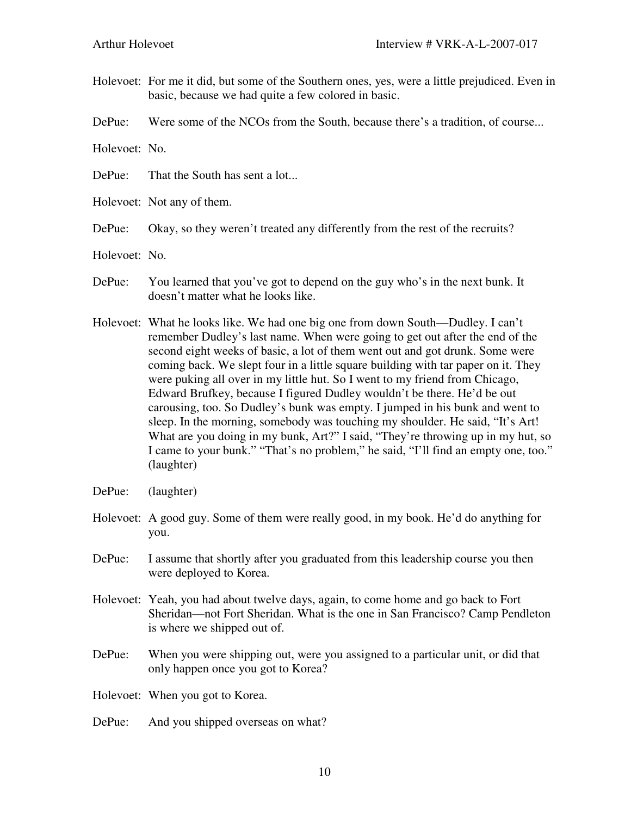- Holevoet: For me it did, but some of the Southern ones, yes, were a little prejudiced. Even in basic, because we had quite a few colored in basic.
- DePue: Were some of the NCOs from the South, because there's a tradition, of course...

Holevoet: No.

- DePue: That the South has sent a lot...
- Holevoet: Not any of them.
- DePue: Okay, so they weren't treated any differently from the rest of the recruits?
- Holevoet: No.
- DePue: You learned that you've got to depend on the guy who's in the next bunk. It doesn't matter what he looks like.
- Holevoet: What he looks like. We had one big one from down South—Dudley. I can't remember Dudley's last name. When were going to get out after the end of the second eight weeks of basic, a lot of them went out and got drunk. Some were coming back. We slept four in a little square building with tar paper on it. They were puking all over in my little hut. So I went to my friend from Chicago, Edward Brufkey, because I figured Dudley wouldn't be there. He'd be out carousing, too. So Dudley's bunk was empty. I jumped in his bunk and went to sleep. In the morning, somebody was touching my shoulder. He said, "It's Art! What are you doing in my bunk, Art?" I said, "They're throwing up in my hut, so I came to your bunk." "That's no problem," he said, "I'll find an empty one, too." (laughter)
- DePue: (laughter)
- Holevoet: A good guy. Some of them were really good, in my book. He'd do anything for you.
- DePue: I assume that shortly after you graduated from this leadership course you then were deployed to Korea.
- Holevoet: Yeah, you had about twelve days, again, to come home and go back to Fort Sheridan—not Fort Sheridan. What is the one in San Francisco? Camp Pendleton is where we shipped out of.
- DePue: When you were shipping out, were you assigned to a particular unit, or did that only happen once you got to Korea?
- Holevoet: When you got to Korea.
- DePue: And you shipped overseas on what?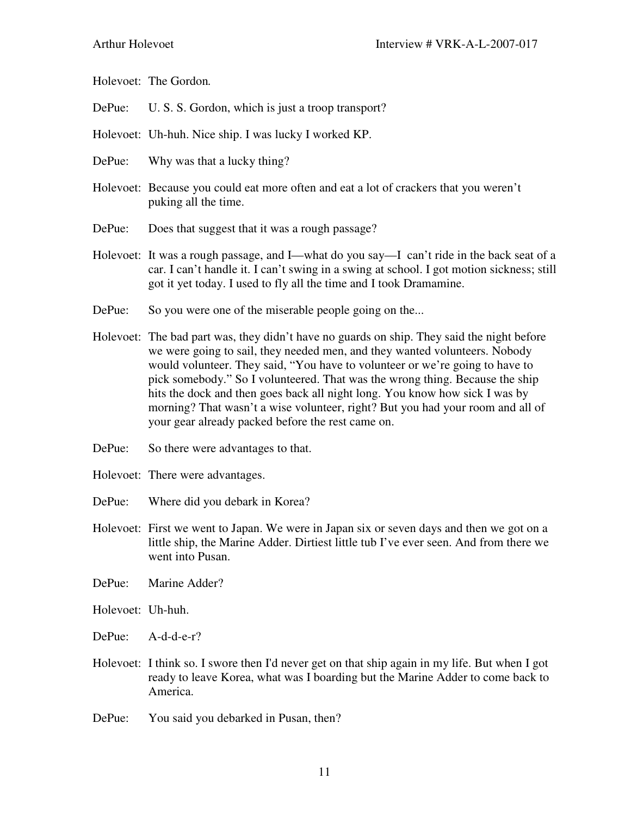Holevoet: The Gordon*.* 

- DePue: U. S. S. Gordon, which is just a troop transport?
- Holevoet: Uh-huh. Nice ship. I was lucky I worked KP.
- DePue: Why was that a lucky thing?
- Holevoet: Because you could eat more often and eat a lot of crackers that you weren't puking all the time.
- DePue: Does that suggest that it was a rough passage?
- Holevoet: It was a rough passage, and I—what do you say—I can't ride in the back seat of a car. I can't handle it. I can't swing in a swing at school. I got motion sickness; still got it yet today. I used to fly all the time and I took Dramamine.
- DePue: So you were one of the miserable people going on the...
- Holevoet: The bad part was, they didn't have no guards on ship. They said the night before we were going to sail, they needed men, and they wanted volunteers. Nobody would volunteer. They said, "You have to volunteer or we're going to have to pick somebody." So I volunteered. That was the wrong thing. Because the ship hits the dock and then goes back all night long. You know how sick I was by morning? That wasn't a wise volunteer, right? But you had your room and all of your gear already packed before the rest came on.
- DePue: So there were advantages to that.
- Holevoet: There were advantages.
- DePue: Where did you debark in Korea?
- Holevoet: First we went to Japan. We were in Japan six or seven days and then we got on a little ship, the Marine Adder. Dirtiest little tub I've ever seen. And from there we went into Pusan.
- DePue: Marine Adder?
- Holevoet: Uh-huh.
- DePue: A-d-d-e-r?
- Holevoet: I think so. I swore then I'd never get on that ship again in my life. But when I got ready to leave Korea, what was I boarding but the Marine Adder to come back to America.
- DePue: You said you debarked in Pusan, then?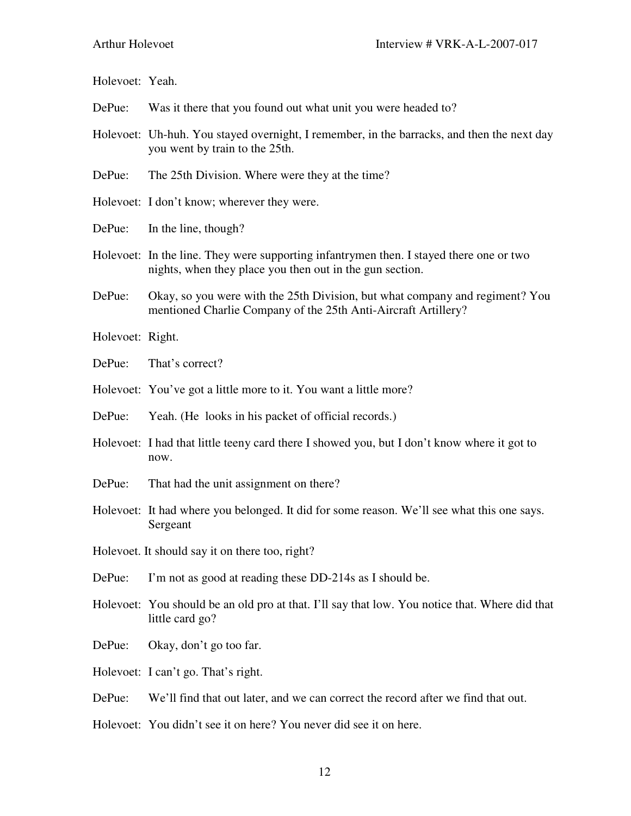| Holevoet: Yeah.                                 |                                                                                                                                                     |
|-------------------------------------------------|-----------------------------------------------------------------------------------------------------------------------------------------------------|
| DePue:                                          | Was it there that you found out what unit you were headed to?                                                                                       |
|                                                 | Holevoet: Uh-huh. You stayed overnight, I remember, in the barracks, and then the next day<br>you went by train to the 25th.                        |
| DePue:                                          | The 25th Division. Where were they at the time?                                                                                                     |
|                                                 | Holevoet: I don't know; wherever they were.                                                                                                         |
| DePue:                                          | In the line, though?                                                                                                                                |
|                                                 | Holevoet: In the line. They were supporting infantrymen then. I stayed there one or two<br>nights, when they place you then out in the gun section. |
| DePue:                                          | Okay, so you were with the 25th Division, but what company and regiment? You<br>mentioned Charlie Company of the 25th Anti-Aircraft Artillery?      |
| Holevoet: Right.                                |                                                                                                                                                     |
| DePue:                                          | That's correct?                                                                                                                                     |
|                                                 | Holevoet: You've got a little more to it. You want a little more?                                                                                   |
| DePue:                                          | Yeah. (He looks in his packet of official records.)                                                                                                 |
|                                                 | Holevoet: I had that little teeny card there I showed you, but I don't know where it got to<br>now.                                                 |
| DePue:                                          | That had the unit assignment on there?                                                                                                              |
|                                                 | Holevoet: It had where you belonged. It did for some reason. We'll see what this one says.<br>Sergeant                                              |
| Holevoet. It should say it on there too, right? |                                                                                                                                                     |
| DePue:                                          | I'm not as good at reading these DD-214s as I should be.                                                                                            |
|                                                 | Holevoet: You should be an old pro at that. I'll say that low. You notice that. Where did that<br>little card go?                                   |
| DePue:                                          | Okay, don't go too far.                                                                                                                             |
|                                                 | Holevoet: I can't go. That's right.                                                                                                                 |
| DePue:                                          | We'll find that out later, and we can correct the record after we find that out.                                                                    |
|                                                 | Holevoet: You didn't see it on here? You never did see it on here.                                                                                  |

12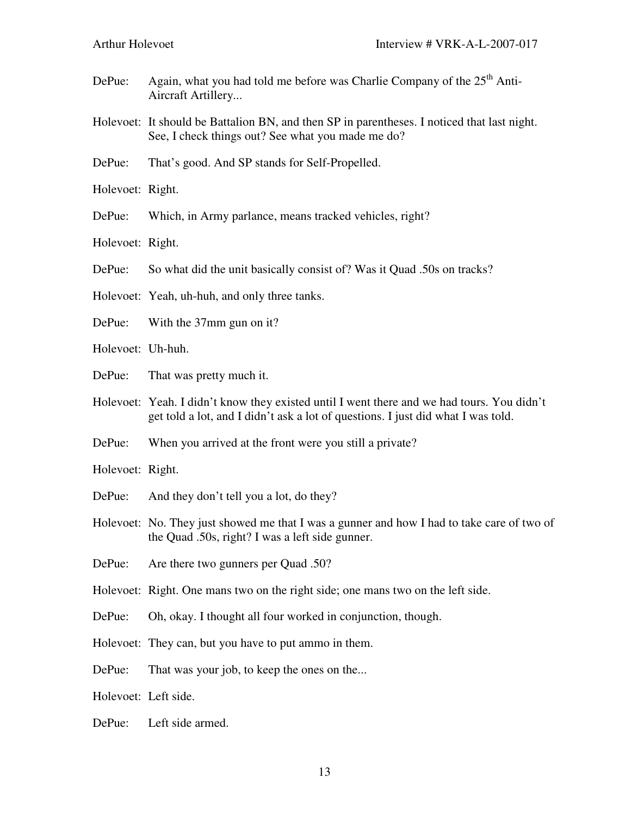- DePue: Again, what you had told me before was Charlie Company of the  $25<sup>th</sup>$  Anti-Aircraft Artillery...
- Holevoet: It should be Battalion BN, and then SP in parentheses. I noticed that last night. See, I check things out? See what you made me do?
- DePue: That's good. And SP stands for Self-Propelled.
- Holevoet: Right.
- DePue: Which, in Army parlance, means tracked vehicles, right?
- Holevoet: Right.
- DePue: So what did the unit basically consist of? Was it Quad .50s on tracks?
- Holevoet: Yeah, uh-huh, and only three tanks.
- DePue: With the 37mm gun on it?
- Holevoet: Uh-huh.
- DePue: That was pretty much it.
- Holevoet: Yeah. I didn't know they existed until I went there and we had tours. You didn't get told a lot, and I didn't ask a lot of questions. I just did what I was told.
- DePue: When you arrived at the front were you still a private?
- Holevoet: Right.
- DePue: And they don't tell you a lot, do they?
- Holevoet: No. They just showed me that I was a gunner and how I had to take care of two of the Quad .50s, right? I was a left side gunner.
- DePue: Are there two gunners per Ouad .50?
- Holevoet: Right. One mans two on the right side; one mans two on the left side.
- DePue: Oh, okay. I thought all four worked in conjunction, though.
- Holevoet: They can, but you have to put ammo in them.
- DePue: That was your job, to keep the ones on the...
- Holevoet: Left side.
- DePue: Left side armed.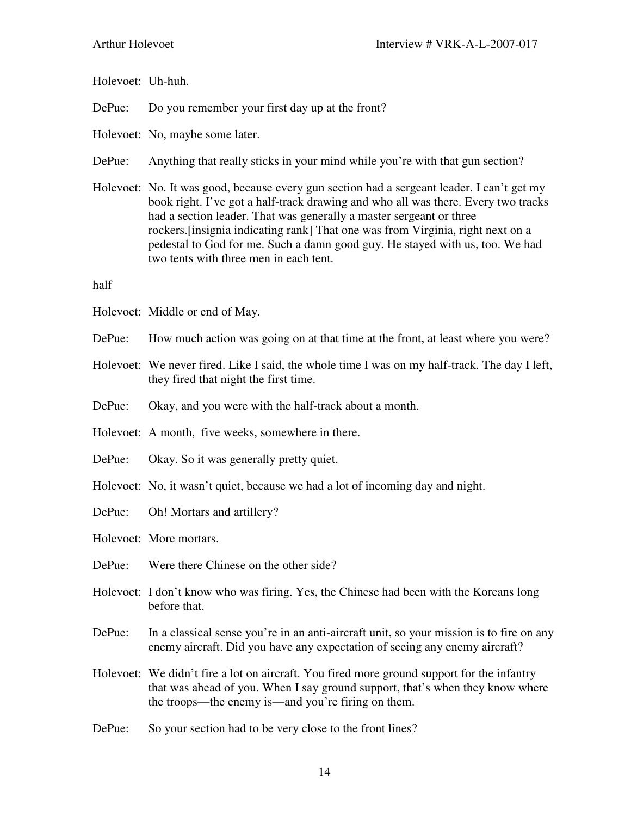| Holevoet: Uh-huh. |                                                                                                                                                                                                                                                                                                                                                                                                                                                                     |
|-------------------|---------------------------------------------------------------------------------------------------------------------------------------------------------------------------------------------------------------------------------------------------------------------------------------------------------------------------------------------------------------------------------------------------------------------------------------------------------------------|
| DePue:            | Do you remember your first day up at the front?                                                                                                                                                                                                                                                                                                                                                                                                                     |
|                   | Holevoet: No, maybe some later.                                                                                                                                                                                                                                                                                                                                                                                                                                     |
| DePue:            | Anything that really sticks in your mind while you're with that gun section?                                                                                                                                                                                                                                                                                                                                                                                        |
|                   | Holevoet: No. It was good, because every gun section had a sergeant leader. I can't get my<br>book right. I've got a half-track drawing and who all was there. Every two tracks<br>had a section leader. That was generally a master sergeant or three<br>rockers. [insignia indicating rank] That one was from Virginia, right next on a<br>pedestal to God for me. Such a damn good guy. He stayed with us, too. We had<br>two tents with three men in each tent. |
| half              |                                                                                                                                                                                                                                                                                                                                                                                                                                                                     |
|                   | Holevoet: Middle or end of May.                                                                                                                                                                                                                                                                                                                                                                                                                                     |
| DePue:            | How much action was going on at that time at the front, at least where you were?                                                                                                                                                                                                                                                                                                                                                                                    |
|                   | Holevoet: We never fired. Like I said, the whole time I was on my half-track. The day I left,<br>they fired that night the first time.                                                                                                                                                                                                                                                                                                                              |
| DePue:            | Okay, and you were with the half-track about a month.                                                                                                                                                                                                                                                                                                                                                                                                               |
|                   | Holevoet: A month, five weeks, somewhere in there.                                                                                                                                                                                                                                                                                                                                                                                                                  |
| DePue:            | Okay. So it was generally pretty quiet.                                                                                                                                                                                                                                                                                                                                                                                                                             |
|                   | Holevoet: No, it wasn't quiet, because we had a lot of incoming day and night.                                                                                                                                                                                                                                                                                                                                                                                      |
| DePue:            | Oh! Mortars and artillery?                                                                                                                                                                                                                                                                                                                                                                                                                                          |
|                   | Holevoet: More mortars.                                                                                                                                                                                                                                                                                                                                                                                                                                             |
| DePue:            | Were there Chinese on the other side?                                                                                                                                                                                                                                                                                                                                                                                                                               |
|                   | Holevoet: I don't know who was firing. Yes, the Chinese had been with the Koreans long<br>before that.                                                                                                                                                                                                                                                                                                                                                              |
| DePue:            | In a classical sense you're in an anti-aircraft unit, so your mission is to fire on any<br>enemy aircraft. Did you have any expectation of seeing any enemy aircraft?                                                                                                                                                                                                                                                                                               |
|                   | Holevoet: We didn't fire a lot on aircraft. You fired more ground support for the infantry<br>that was ahead of you. When I say ground support, that's when they know where<br>the troops—the enemy is—and you're firing on them.                                                                                                                                                                                                                                   |
| DePue:            | So your section had to be very close to the front lines?                                                                                                                                                                                                                                                                                                                                                                                                            |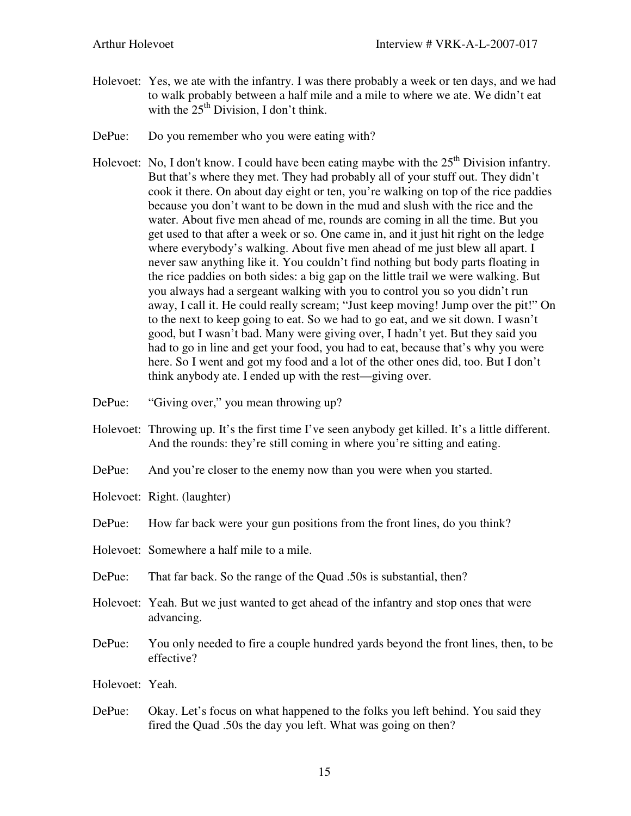- Holevoet: Yes, we ate with the infantry. I was there probably a week or ten days, and we had to walk probably between a half mile and a mile to where we ate. We didn't eat with the  $25<sup>th</sup>$  Division, I don't think.
- DePue: Do you remember who you were eating with?
- Holevoet: No, I don't know. I could have been eating maybe with the  $25<sup>th</sup>$  Division infantry. But that's where they met. They had probably all of your stuff out. They didn't cook it there. On about day eight or ten, you're walking on top of the rice paddies because you don't want to be down in the mud and slush with the rice and the water. About five men ahead of me, rounds are coming in all the time. But you get used to that after a week or so. One came in, and it just hit right on the ledge where everybody's walking. About five men ahead of me just blew all apart. I never saw anything like it. You couldn't find nothing but body parts floating in the rice paddies on both sides: a big gap on the little trail we were walking. But you always had a sergeant walking with you to control you so you didn't run away, I call it. He could really scream; "Just keep moving! Jump over the pit!" On to the next to keep going to eat. So we had to go eat, and we sit down. I wasn't good, but I wasn't bad. Many were giving over, I hadn't yet. But they said you had to go in line and get your food, you had to eat, because that's why you were here. So I went and got my food and a lot of the other ones did, too. But I don't think anybody ate. I ended up with the rest—giving over.
- DePue: "Giving over," you mean throwing up?
- Holevoet: Throwing up. It's the first time I've seen anybody get killed. It's a little different. And the rounds: they're still coming in where you're sitting and eating.
- DePue: And you're closer to the enemy now than you were when you started.
- Holevoet: Right. (laughter)
- DePue: How far back were your gun positions from the front lines, do you think?
- Holevoet: Somewhere a half mile to a mile.
- DePue: That far back. So the range of the Quad .50s is substantial, then?
- Holevoet: Yeah. But we just wanted to get ahead of the infantry and stop ones that were advancing.
- DePue: You only needed to fire a couple hundred yards beyond the front lines, then, to be effective?
- Holevoet: Yeah.
- DePue: Okay. Let's focus on what happened to the folks you left behind. You said they fired the Quad .50s the day you left. What was going on then?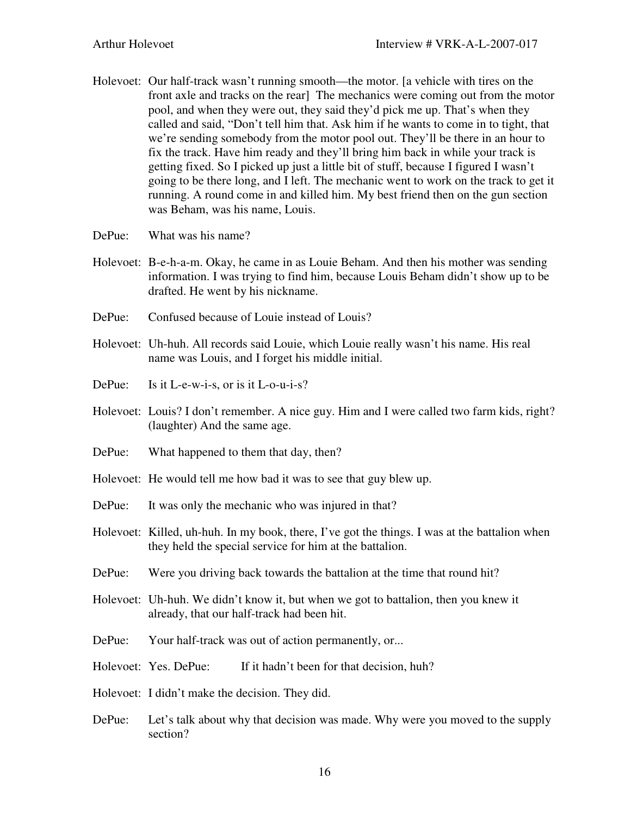- Holevoet: Our half-track wasn't running smooth—the motor. [a vehicle with tires on the front axle and tracks on the rear] The mechanics were coming out from the motor pool, and when they were out, they said they'd pick me up. That's when they called and said, "Don't tell him that. Ask him if he wants to come in to tight, that we're sending somebody from the motor pool out. They'll be there in an hour to fix the track. Have him ready and they'll bring him back in while your track is getting fixed. So I picked up just a little bit of stuff, because I figured I wasn't going to be there long, and I left. The mechanic went to work on the track to get it running. A round come in and killed him. My best friend then on the gun section was Beham, was his name, Louis.
- DePue: What was his name?
- Holevoet: B-e-h-a-m. Okay, he came in as Louie Beham. And then his mother was sending information. I was trying to find him, because Louis Beham didn't show up to be drafted. He went by his nickname.
- DePue: Confused because of Louie instead of Louis?
- Holevoet: Uh-huh. All records said Louie, which Louie really wasn't his name. His real name was Louis, and I forget his middle initial.
- DePue: Is it L-e-w-i-s, or is it L-o-u-i-s?
- Holevoet: Louis? I don't remember. A nice guy. Him and I were called two farm kids, right? (laughter) And the same age.
- DePue: What happened to them that day, then?
- Holevoet: He would tell me how bad it was to see that guy blew up.
- DePue: It was only the mechanic who was injured in that?
- Holevoet: Killed, uh-huh. In my book, there, I've got the things. I was at the battalion when they held the special service for him at the battalion.
- DePue: Were you driving back towards the battalion at the time that round hit?
- Holevoet: Uh-huh. We didn't know it, but when we got to battalion, then you knew it already, that our half-track had been hit.
- DePue: Your half-track was out of action permanently, or...
- Holevoet: Yes. DePue: If it hadn't been for that decision, huh?
- Holevoet: I didn't make the decision. They did.
- DePue: Let's talk about why that decision was made. Why were you moved to the supply section?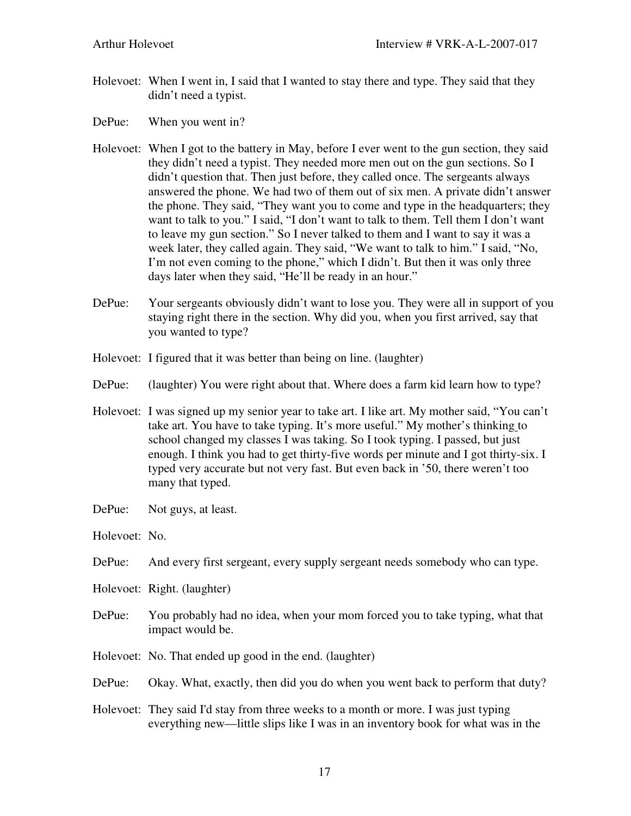- Holevoet: When I went in, I said that I wanted to stay there and type. They said that they didn't need a typist.
- DePue: When you went in?
- Holevoet: When I got to the battery in May, before I ever went to the gun section, they said they didn't need a typist. They needed more men out on the gun sections. So I didn't question that. Then just before, they called once. The sergeants always answered the phone. We had two of them out of six men. A private didn't answer the phone. They said, "They want you to come and type in the headquarters; they want to talk to you." I said, "I don't want to talk to them. Tell them I don't want to leave my gun section." So I never talked to them and I want to say it was a week later, they called again. They said, "We want to talk to him." I said, "No, I'm not even coming to the phone," which I didn't. But then it was only three days later when they said, "He'll be ready in an hour."
- DePue: Your sergeants obviously didn't want to lose you. They were all in support of you staying right there in the section. Why did you, when you first arrived, say that you wanted to type?
- Holevoet: I figured that it was better than being on line. (laughter)
- DePue: (laughter) You were right about that. Where does a farm kid learn how to type?
- Holevoet: I was signed up my senior year to take art. I like art. My mother said, "You can't take art. You have to take typing. It's more useful." My mother's thinking to school changed my classes I was taking. So I took typing. I passed, but just enough. I think you had to get thirty-five words per minute and I got thirty-six. I typed very accurate but not very fast. But even back in '50, there weren't too many that typed.
- DePue: Not guys, at least.
- Holevoet: No.
- DePue: And every first sergeant, every supply sergeant needs somebody who can type.
- Holevoet: Right. (laughter)
- DePue: You probably had no idea, when your mom forced you to take typing, what that impact would be.
- Holevoet: No. That ended up good in the end. (laughter)
- DePue: Okay. What, exactly, then did you do when you went back to perform that duty?
- Holevoet: They said I'd stay from three weeks to a month or more. I was just typing everything new—little slips like I was in an inventory book for what was in the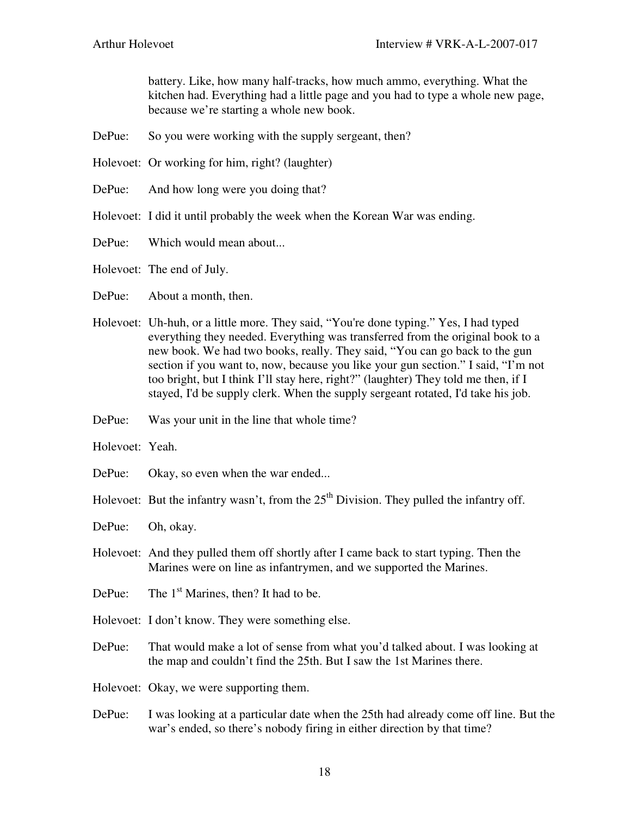battery. Like, how many half-tracks, how much ammo, everything. What the kitchen had. Everything had a little page and you had to type a whole new page, because we're starting a whole new book.

- DePue: So you were working with the supply sergeant, then?
- Holevoet: Or working for him, right? (laughter)
- DePue: And how long were you doing that?
- Holevoet: I did it until probably the week when the Korean War was ending.
- DePue: Which would mean about...

Holevoet: The end of July.

- DePue: About a month, then.
- Holevoet: Uh-huh, or a little more. They said, "You're done typing." Yes, I had typed everything they needed. Everything was transferred from the original book to a new book. We had two books, really. They said, "You can go back to the gun section if you want to, now, because you like your gun section." I said, "I'm not too bright, but I think I'll stay here, right?" (laughter) They told me then, if I stayed, I'd be supply clerk. When the supply sergeant rotated, I'd take his job.
- DePue: Was your unit in the line that whole time?
- Holevoet: Yeah.
- DePue: Okay, so even when the war ended...
- Holevoet: But the infantry wasn't, from the  $25<sup>th</sup>$  Division. They pulled the infantry off.
- DePue: Oh, okay.
- Holevoet: And they pulled them off shortly after I came back to start typing. Then the Marines were on line as infantrymen, and we supported the Marines.
- DePue: The  $1<sup>st</sup>$  Marines, then? It had to be.
- Holevoet: I don't know. They were something else.
- DePue: That would make a lot of sense from what you'd talked about. I was looking at the map and couldn't find the 25th. But I saw the 1st Marines there.
- Holevoet: Okay, we were supporting them.
- DePue: I was looking at a particular date when the 25th had already come off line. But the war's ended, so there's nobody firing in either direction by that time?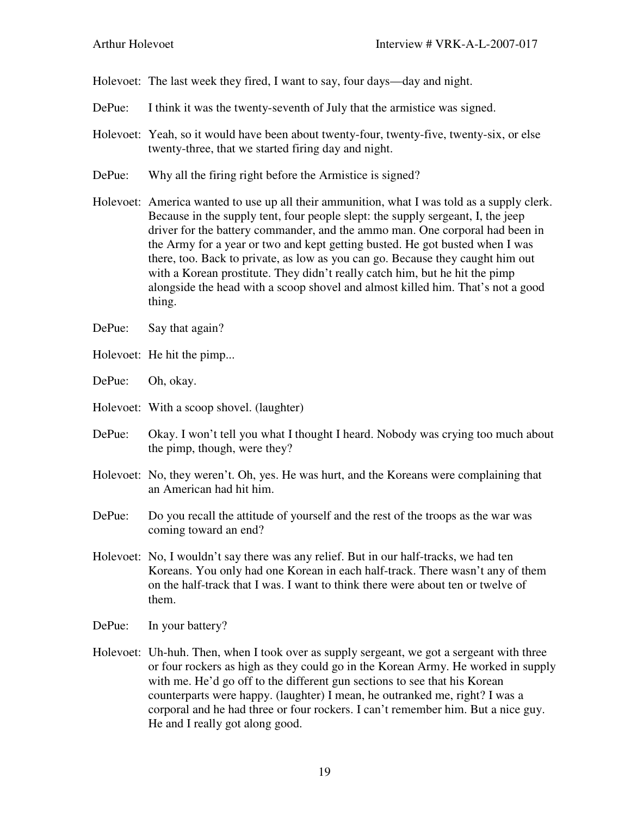Holevoet: The last week they fired, I want to say, four days—day and night.

- DePue: I think it was the twenty-seventh of July that the armistice was signed.
- Holevoet: Yeah, so it would have been about twenty-four, twenty-five, twenty-six, or else twenty-three, that we started firing day and night.
- DePue: Why all the firing right before the Armistice is signed?
- Holevoet: America wanted to use up all their ammunition, what I was told as a supply clerk. Because in the supply tent, four people slept: the supply sergeant, I, the jeep driver for the battery commander, and the ammo man. One corporal had been in the Army for a year or two and kept getting busted. He got busted when I was there, too. Back to private, as low as you can go. Because they caught him out with a Korean prostitute. They didn't really catch him, but he hit the pimp alongside the head with a scoop shovel and almost killed him. That's not a good thing.
- DePue: Say that again?
- Holevoet: He hit the pimp...
- DePue: Oh, okay.
- Holevoet: With a scoop shovel. (laughter)
- DePue: Okay. I won't tell you what I thought I heard. Nobody was crying too much about the pimp, though, were they?
- Holevoet: No, they weren't. Oh, yes. He was hurt, and the Koreans were complaining that an American had hit him.
- DePue: Do you recall the attitude of yourself and the rest of the troops as the war was coming toward an end?
- Holevoet: No, I wouldn't say there was any relief. But in our half-tracks, we had ten Koreans. You only had one Korean in each half-track. There wasn't any of them on the half-track that I was. I want to think there were about ten or twelve of them.
- DePue: In your battery?
- Holevoet: Uh-huh. Then, when I took over as supply sergeant, we got a sergeant with three or four rockers as high as they could go in the Korean Army. He worked in supply with me. He'd go off to the different gun sections to see that his Korean counterparts were happy. (laughter) I mean, he outranked me, right? I was a corporal and he had three or four rockers. I can't remember him. But a nice guy. He and I really got along good.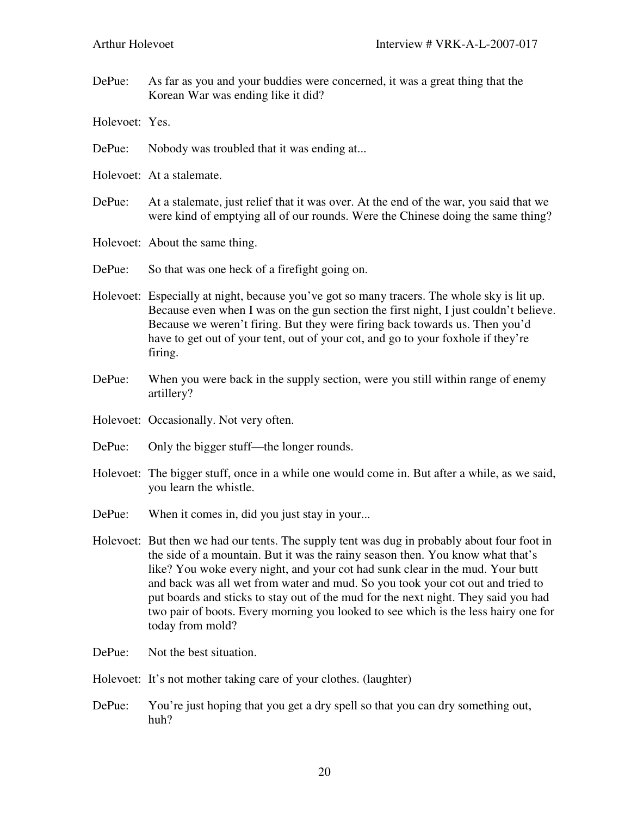DePue: As far as you and your buddies were concerned, it was a great thing that the Korean War was ending like it did?

Holevoet: Yes.

- DePue: Nobody was troubled that it was ending at...
- Holevoet: At a stalemate.
- DePue: At a stalemate, just relief that it was over. At the end of the war, you said that we were kind of emptying all of our rounds. Were the Chinese doing the same thing?
- Holevoet: About the same thing.
- DePue: So that was one heck of a firefight going on.
- Holevoet: Especially at night, because you've got so many tracers. The whole sky is lit up. Because even when I was on the gun section the first night, I just couldn't believe. Because we weren't firing. But they were firing back towards us. Then you'd have to get out of your tent, out of your cot, and go to your foxhole if they're firing.
- DePue: When you were back in the supply section, were you still within range of enemy artillery?
- Holevoet: Occasionally. Not very often.
- DePue: Only the bigger stuff—the longer rounds.
- Holevoet: The bigger stuff, once in a while one would come in. But after a while, as we said, you learn the whistle.
- DePue: When it comes in, did you just stay in your...
- Holevoet: But then we had our tents. The supply tent was dug in probably about four foot in the side of a mountain. But it was the rainy season then. You know what that's like? You woke every night, and your cot had sunk clear in the mud. Your butt and back was all wet from water and mud. So you took your cot out and tried to put boards and sticks to stay out of the mud for the next night. They said you had two pair of boots. Every morning you looked to see which is the less hairy one for today from mold?
- DePue: Not the best situation.
- Holevoet: It's not mother taking care of your clothes. (laughter)
- DePue: You're just hoping that you get a dry spell so that you can dry something out, huh?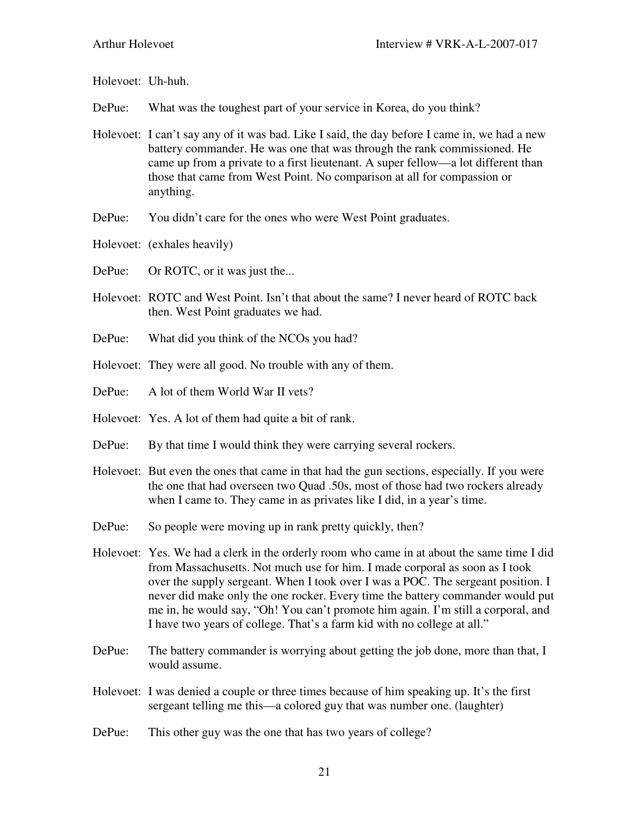Holevoet: Uh-huh.

DePue: What was the toughest part of your service in Korea, do you think?

- Holevoet: I can't say any of it was bad. Like I said, the day before I came in, we had a new battery commander. He was one that was through the rank commissioned. He came up from a private to a first lieutenant. A super fellow—a lot different than those that came from West Point. No comparison at all for compassion or anything.
- DePue: You didn't care for the ones who were West Point graduates.
- Holevoet: (exhales heavily)
- DePue: Or ROTC, or it was just the...
- Holevoet: ROTC and West Point. Isn't that about the same? I never heard of ROTC back then. West Point graduates we had.
- DePue: What did you think of the NCOs you had?
- Holevoet: They were all good. No trouble with any of them.
- DePue: A lot of them World War II vets?
- Holevoet: Yes. A lot of them had quite a bit of rank.
- DePue: By that time I would think they were carrying several rockers.
- Holevoet: But even the ones that came in that had the gun sections, especially. If you were the one that had overseen two Quad .50s, most of those had two rockers already when I came to. They came in as privates like I did, in a year's time.
- DePue: So people were moving up in rank pretty quickly, then?
- Holevoet: Yes. We had a clerk in the orderly room who came in at about the same time I did from Massachusetts. Not much use for him. I made corporal as soon as I took over the supply sergeant. When I took over I was a POC. The sergeant position. I never did make only the one rocker. Every time the battery commander would put me in, he would say, "Oh! You can't promote him again. I'm still a corporal, and I have two years of college. That's a farm kid with no college at all."
- DePue: The battery commander is worrying about getting the job done, more than that, I would assume.
- Holevoet: I was denied a couple or three times because of him speaking up. It's the first sergeant telling me this—a colored guy that was number one. (laughter)
- DePue: This other guy was the one that has two years of college?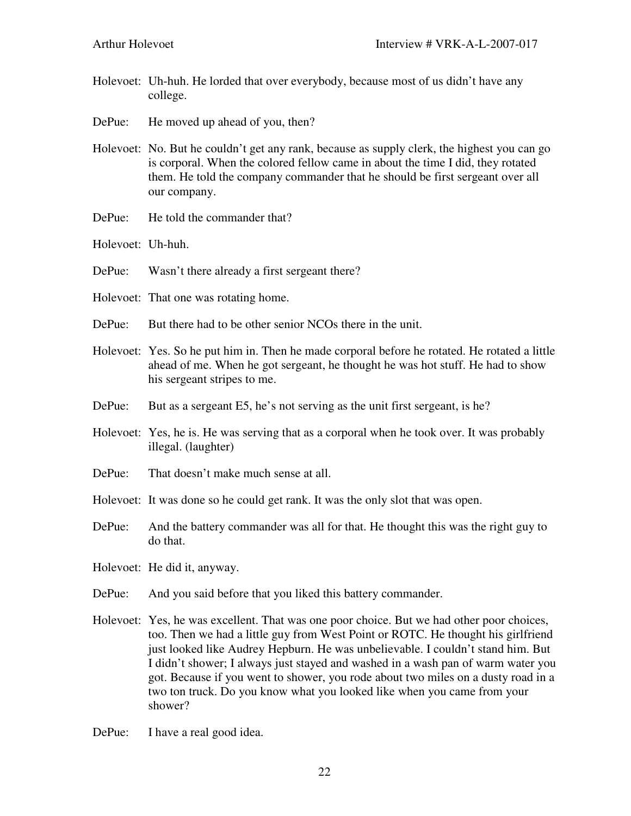- Holevoet: Uh-huh. He lorded that over everybody, because most of us didn't have any college.
- DePue: He moved up ahead of you, then?
- Holevoet: No. But he couldn't get any rank, because as supply clerk, the highest you can go is corporal. When the colored fellow came in about the time I did, they rotated them. He told the company commander that he should be first sergeant over all our company.
- DePue: He told the commander that?
- Holevoet: Uh-huh.
- DePue: Wasn't there already a first sergeant there?
- Holevoet: That one was rotating home.
- DePue: But there had to be other senior NCOs there in the unit.
- Holevoet: Yes. So he put him in. Then he made corporal before he rotated. He rotated a little ahead of me. When he got sergeant, he thought he was hot stuff. He had to show his sergeant stripes to me.
- DePue: But as a sergeant E5, he's not serving as the unit first sergeant, is he?
- Holevoet: Yes, he is. He was serving that as a corporal when he took over. It was probably illegal. (laughter)
- DePue: That doesn't make much sense at all.
- Holevoet: It was done so he could get rank. It was the only slot that was open.
- DePue: And the battery commander was all for that. He thought this was the right guy to do that.
- Holevoet: He did it, anyway.
- DePue: And you said before that you liked this battery commander.
- Holevoet: Yes, he was excellent. That was one poor choice. But we had other poor choices, too. Then we had a little guy from West Point or ROTC. He thought his girlfriend just looked like Audrey Hepburn. He was unbelievable. I couldn't stand him. But I didn't shower; I always just stayed and washed in a wash pan of warm water you got. Because if you went to shower, you rode about two miles on a dusty road in a two ton truck. Do you know what you looked like when you came from your shower?
- DePue: I have a real good idea.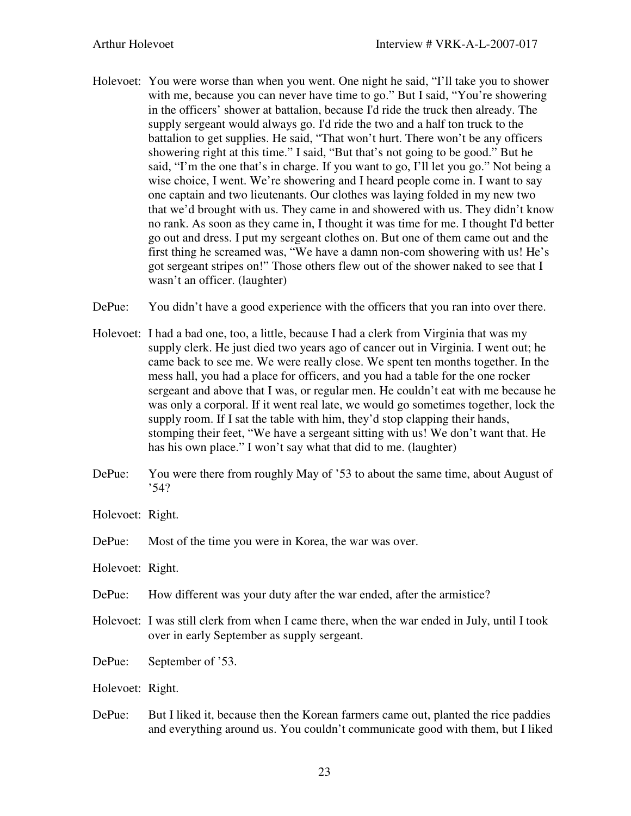- Holevoet: You were worse than when you went. One night he said, "I'll take you to shower with me, because you can never have time to go." But I said, "You're showering in the officers' shower at battalion, because I'd ride the truck then already. The supply sergeant would always go. I'd ride the two and a half ton truck to the battalion to get supplies. He said, "That won't hurt. There won't be any officers showering right at this time." I said, "But that's not going to be good." But he said, "I'm the one that's in charge. If you want to go, I'll let you go." Not being a wise choice, I went. We're showering and I heard people come in. I want to say one captain and two lieutenants. Our clothes was laying folded in my new two that we'd brought with us. They came in and showered with us. They didn't know no rank. As soon as they came in, I thought it was time for me. I thought I'd better go out and dress. I put my sergeant clothes on. But one of them came out and the first thing he screamed was, "We have a damn non-com showering with us! He's got sergeant stripes on!" Those others flew out of the shower naked to see that I wasn't an officer. (laughter)
- DePue: You didn't have a good experience with the officers that you ran into over there.
- Holevoet: I had a bad one, too, a little, because I had a clerk from Virginia that was my supply clerk. He just died two years ago of cancer out in Virginia. I went out; he came back to see me. We were really close. We spent ten months together. In the mess hall, you had a place for officers, and you had a table for the one rocker sergeant and above that I was, or regular men. He couldn't eat with me because he was only a corporal. If it went real late, we would go sometimes together, lock the supply room. If I sat the table with him, they'd stop clapping their hands, stomping their feet, "We have a sergeant sitting with us! We don't want that. He has his own place." I won't say what that did to me. (laughter)
- DePue: You were there from roughly May of '53 to about the same time, about August of '54?

Holevoet: Right.

- DePue: Most of the time you were in Korea, the war was over.
- Holevoet: Right.
- DePue: How different was your duty after the war ended, after the armistice?
- Holevoet: I was still clerk from when I came there, when the war ended in July, until I took over in early September as supply sergeant.
- DePue: September of '53.
- Holevoet: Right.
- DePue: But I liked it, because then the Korean farmers came out, planted the rice paddies and everything around us. You couldn't communicate good with them, but I liked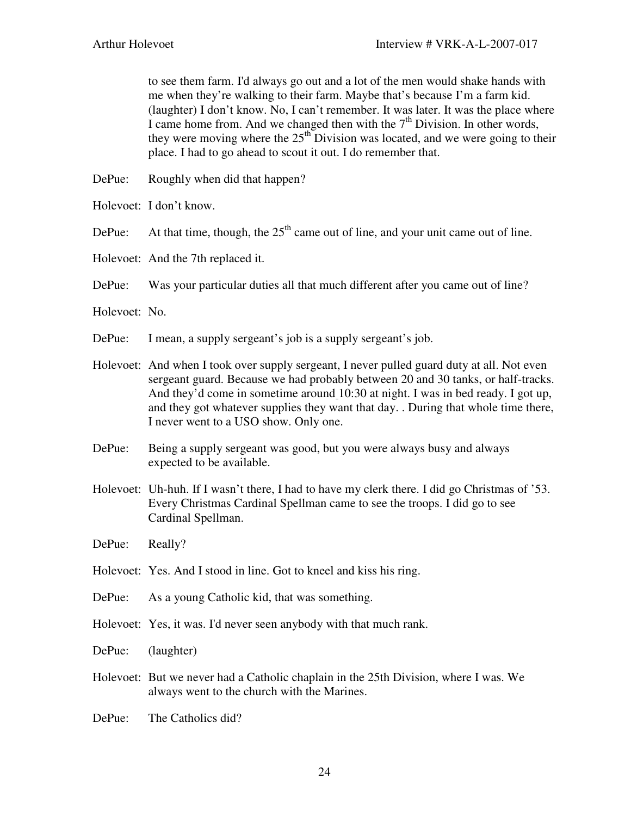to see them farm. I'd always go out and a lot of the men would shake hands with me when they're walking to their farm. Maybe that's because I'm a farm kid. (laughter) I don't know. No, I can't remember. It was later. It was the place where I came home from. And we changed then with the  $7<sup>th</sup>$  Division. In other words, they were moving where the  $25<sup>th</sup>$  Division was located, and we were going to their place. I had to go ahead to scout it out. I do remember that.

- DePue: Roughly when did that happen?
- Holevoet: I don't know.
- DePue: At that time, though, the  $25<sup>th</sup>$  came out of line, and your unit came out of line.
- Holevoet: And the 7th replaced it.
- DePue: Was your particular duties all that much different after you came out of line?
- Holevoet: No.
- DePue: I mean, a supply sergeant's job is a supply sergeant's job.
- Holevoet: And when I took over supply sergeant, I never pulled guard duty at all. Not even sergeant guard. Because we had probably between 20 and 30 tanks, or half-tracks. And they'd come in sometime around 10:30 at night. I was in bed ready. I got up, and they got whatever supplies they want that day. . During that whole time there, I never went to a USO show. Only one.
- DePue: Being a supply sergeant was good, but you were always busy and always expected to be available.
- Holevoet: Uh-huh. If I wasn't there, I had to have my clerk there. I did go Christmas of '53. Every Christmas Cardinal Spellman came to see the troops. I did go to see Cardinal Spellman.
- DePue: Really?
- Holevoet: Yes. And I stood in line. Got to kneel and kiss his ring.
- DePue: As a young Catholic kid, that was something.
- Holevoet: Yes, it was. I'd never seen anybody with that much rank.
- DePue: (laughter)
- Holevoet: But we never had a Catholic chaplain in the 25th Division, where I was. We always went to the church with the Marines.
- DePue: The Catholics did?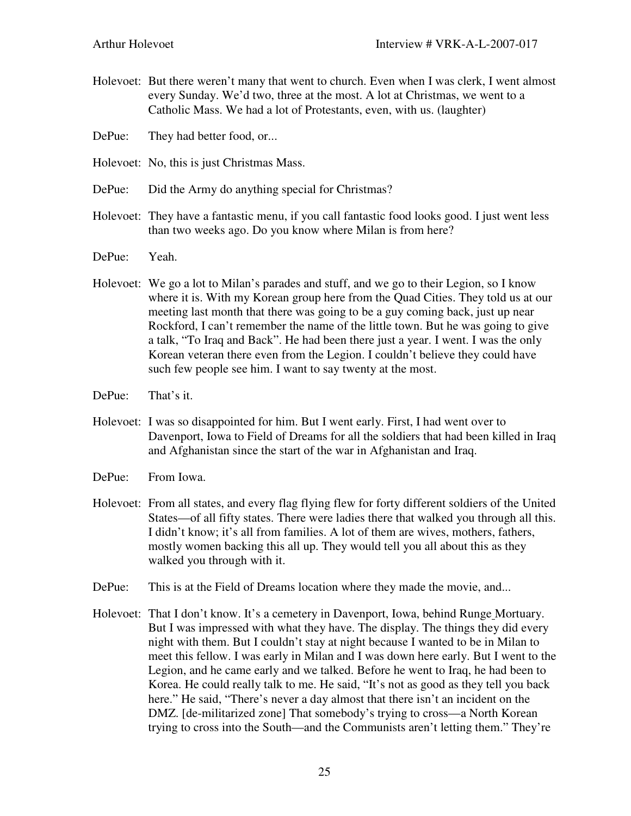- Holevoet: But there weren't many that went to church. Even when I was clerk, I went almost every Sunday. We'd two, three at the most. A lot at Christmas, we went to a Catholic Mass. We had a lot of Protestants, even, with us. (laughter)
- DePue: They had better food, or...
- Holevoet: No, this is just Christmas Mass.
- DePue: Did the Army do anything special for Christmas?
- Holevoet: They have a fantastic menu, if you call fantastic food looks good. I just went less than two weeks ago. Do you know where Milan is from here?
- DePue: Yeah.
- Holevoet: We go a lot to Milan's parades and stuff, and we go to their Legion, so I know where it is. With my Korean group here from the Quad Cities. They told us at our meeting last month that there was going to be a guy coming back, just up near Rockford, I can't remember the name of the little town. But he was going to give a talk, "To Iraq and Back". He had been there just a year. I went. I was the only Korean veteran there even from the Legion. I couldn't believe they could have such few people see him. I want to say twenty at the most.
- DePue: That's it.
- Holevoet: I was so disappointed for him. But I went early. First, I had went over to Davenport, Iowa to Field of Dreams for all the soldiers that had been killed in Iraq and Afghanistan since the start of the war in Afghanistan and Iraq.
- DePue: From Iowa.
- Holevoet: From all states, and every flag flying flew for forty different soldiers of the United States—of all fifty states. There were ladies there that walked you through all this. I didn't know; it's all from families. A lot of them are wives, mothers, fathers, mostly women backing this all up. They would tell you all about this as they walked you through with it.
- DePue: This is at the Field of Dreams location where they made the movie, and...
- Holevoet: That I don't know. It's a cemetery in Davenport, Iowa, behind Runge Mortuary. But I was impressed with what they have. The display. The things they did every night with them. But I couldn't stay at night because I wanted to be in Milan to meet this fellow. I was early in Milan and I was down here early. But I went to the Legion, and he came early and we talked. Before he went to Iraq, he had been to Korea. He could really talk to me. He said, "It's not as good as they tell you back here." He said, "There's never a day almost that there isn't an incident on the DMZ. [de-militarized zone] That somebody's trying to cross—a North Korean trying to cross into the South—and the Communists aren't letting them." They're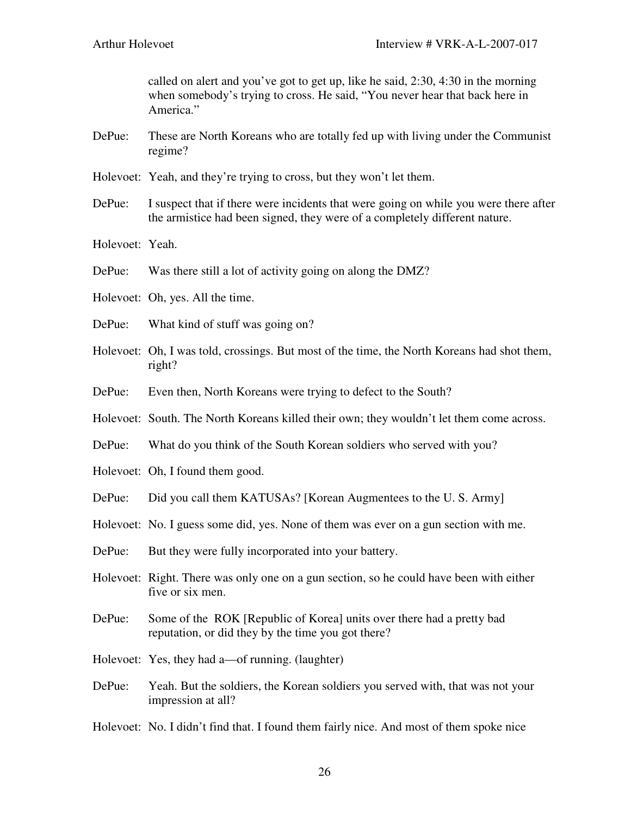called on alert and you've got to get up, like he said, 2:30, 4:30 in the morning when somebody's trying to cross. He said, "You never hear that back here in America."

- DePue: These are North Koreans who are totally fed up with living under the Communist regime?
- Holevoet: Yeah, and they're trying to cross, but they won't let them.
- DePue: I suspect that if there were incidents that were going on while you were there after the armistice had been signed, they were of a completely different nature.
- Holevoet: Yeah.
- DePue: Was there still a lot of activity going on along the DMZ?
- Holevoet: Oh, yes. All the time.
- DePue: What kind of stuff was going on?
- Holevoet: Oh, I was told, crossings. But most of the time, the North Koreans had shot them, right?
- DePue: Even then, North Koreans were trying to defect to the South?
- Holevoet: South. The North Koreans killed their own; they wouldn't let them come across.
- DePue: What do you think of the South Korean soldiers who served with you?
- Holevoet: Oh, I found them good.
- DePue: Did you call them KATUSAs? [Korean Augmentees to the U. S. Army]
- Holevoet: No. I guess some did, yes. None of them was ever on a gun section with me.
- DePue: But they were fully incorporated into your battery.
- Holevoet: Right. There was only one on a gun section, so he could have been with either five or six men.
- DePue: Some of the ROK [Republic of Korea] units over there had a pretty bad reputation, or did they by the time you got there?
- Holevoet: Yes, they had a—of running. (laughter)
- DePue: Yeah. But the soldiers, the Korean soldiers you served with, that was not your impression at all?

Holevoet: No. I didn't find that. I found them fairly nice. And most of them spoke nice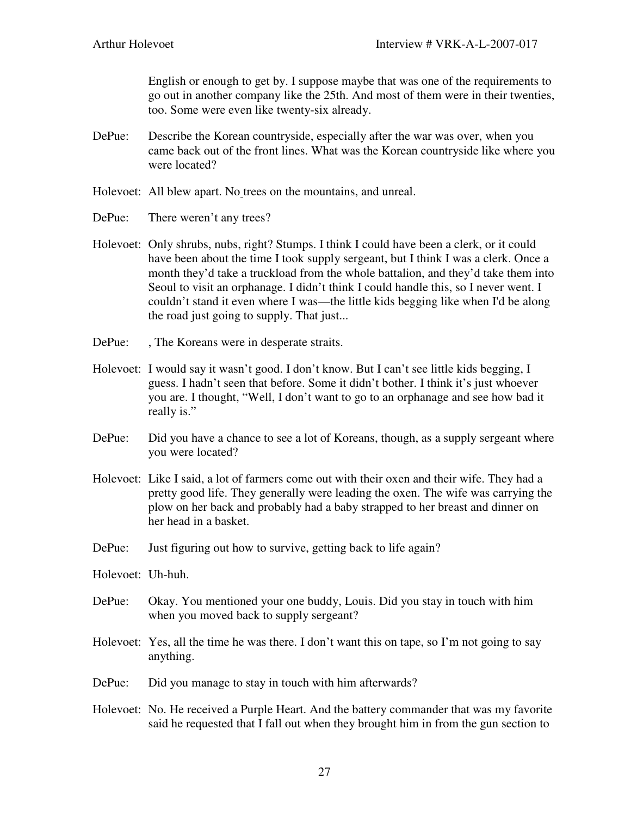English or enough to get by. I suppose maybe that was one of the requirements to go out in another company like the 25th. And most of them were in their twenties, too. Some were even like twenty-six already.

- DePue: Describe the Korean countryside, especially after the war was over, when you came back out of the front lines. What was the Korean countryside like where you were located?
- Holevoet: All blew apart. No trees on the mountains, and unreal.
- DePue: There weren't any trees?
- Holevoet: Only shrubs, nubs, right? Stumps. I think I could have been a clerk, or it could have been about the time I took supply sergeant, but I think I was a clerk. Once a month they'd take a truckload from the whole battalion, and they'd take them into Seoul to visit an orphanage. I didn't think I could handle this, so I never went. I couldn't stand it even where I was—the little kids begging like when I'd be along the road just going to supply. That just...
- DePue: , The Koreans were in desperate straits.
- Holevoet: I would say it wasn't good. I don't know. But I can't see little kids begging, I guess. I hadn't seen that before. Some it didn't bother. I think it's just whoever you are. I thought, "Well, I don't want to go to an orphanage and see how bad it really is."
- DePue: Did you have a chance to see a lot of Koreans, though, as a supply sergeant where you were located?
- Holevoet: Like I said, a lot of farmers come out with their oxen and their wife. They had a pretty good life. They generally were leading the oxen. The wife was carrying the plow on her back and probably had a baby strapped to her breast and dinner on her head in a basket.
- DePue: Just figuring out how to survive, getting back to life again?
- Holevoet: Uh-huh.
- DePue: Okay. You mentioned your one buddy, Louis. Did you stay in touch with him when you moved back to supply sergeant?
- Holevoet: Yes, all the time he was there. I don't want this on tape, so I'm not going to say anything.
- DePue: Did you manage to stay in touch with him afterwards?
- Holevoet: No. He received a Purple Heart. And the battery commander that was my favorite said he requested that I fall out when they brought him in from the gun section to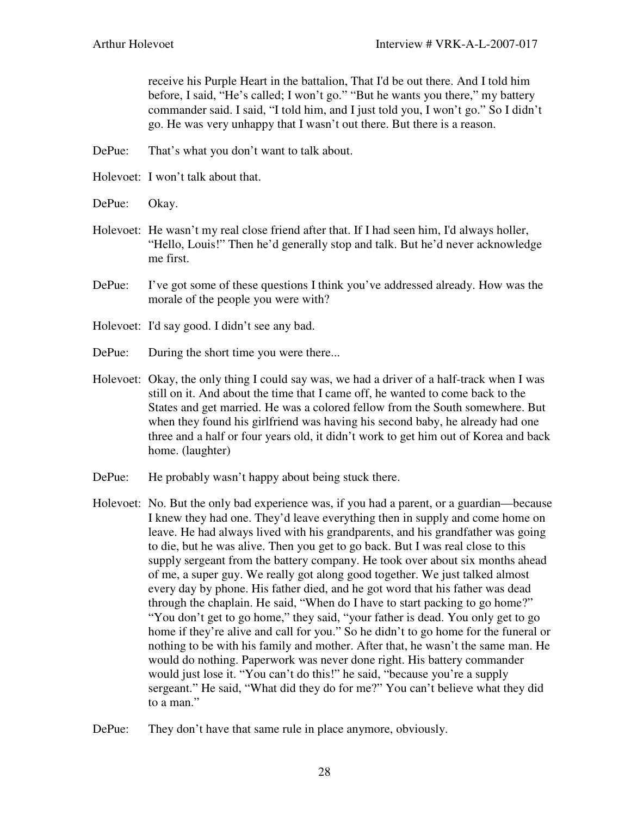receive his Purple Heart in the battalion, That I'd be out there. And I told him before, I said, "He's called; I won't go." "But he wants you there," my battery commander said. I said, "I told him, and I just told you, I won't go." So I didn't go. He was very unhappy that I wasn't out there. But there is a reason.

- DePue: That's what you don't want to talk about.
- Holevoet: I won't talk about that.
- DePue: Okay.
- Holevoet: He wasn't my real close friend after that. If I had seen him, I'd always holler, "Hello, Louis!" Then he'd generally stop and talk. But he'd never acknowledge me first.
- DePue: I've got some of these questions I think you've addressed already. How was the morale of the people you were with?
- Holevoet: I'd say good. I didn't see any bad.
- DePue: During the short time you were there...
- Holevoet: Okay, the only thing I could say was, we had a driver of a half-track when I was still on it. And about the time that I came off, he wanted to come back to the States and get married. He was a colored fellow from the South somewhere. But when they found his girlfriend was having his second baby, he already had one three and a half or four years old, it didn't work to get him out of Korea and back home. (laughter)
- DePue: He probably wasn't happy about being stuck there.
- Holevoet: No. But the only bad experience was, if you had a parent, or a guardian—because I knew they had one. They'd leave everything then in supply and come home on leave. He had always lived with his grandparents, and his grandfather was going to die, but he was alive. Then you get to go back. But I was real close to this supply sergeant from the battery company. He took over about six months ahead of me, a super guy. We really got along good together. We just talked almost every day by phone. His father died, and he got word that his father was dead through the chaplain. He said, "When do I have to start packing to go home?" "You don't get to go home," they said, "your father is dead. You only get to go home if they're alive and call for you." So he didn't to go home for the funeral or nothing to be with his family and mother. After that, he wasn't the same man. He would do nothing. Paperwork was never done right. His battery commander would just lose it. "You can't do this!" he said, "because you're a supply sergeant." He said, "What did they do for me?" You can't believe what they did to a man."
- DePue: They don't have that same rule in place anymore, obviously.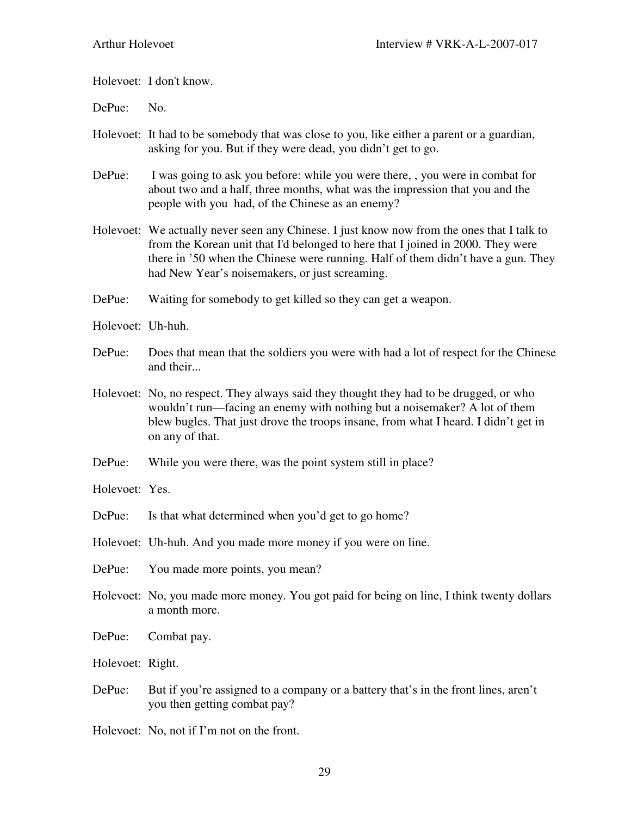Holevoet: I don't know.

DePue: No.

- Holevoet: It had to be somebody that was close to you, like either a parent or a guardian, asking for you. But if they were dead, you didn't get to go.
- DePue: I was going to ask you before: while you were there, , you were in combat for about two and a half, three months, what was the impression that you and the people with you had, of the Chinese as an enemy?
- Holevoet: We actually never seen any Chinese. I just know now from the ones that I talk to from the Korean unit that I'd belonged to here that I joined in 2000. They were there in '50 when the Chinese were running. Half of them didn't have a gun. They had New Year's noisemakers, or just screaming.
- DePue: Waiting for somebody to get killed so they can get a weapon.
- Holevoet: Uh-huh.
- DePue: Does that mean that the soldiers you were with had a lot of respect for the Chinese and their...
- Holevoet: No, no respect. They always said they thought they had to be drugged, or who wouldn't run—facing an enemy with nothing but a noisemaker? A lot of them blew bugles. That just drove the troops insane, from what I heard. I didn't get in on any of that.
- DePue: While you were there, was the point system still in place?
- Holevoet: Yes.
- DePue: Is that what determined when you'd get to go home?
- Holevoet: Uh-huh. And you made more money if you were on line.
- DePue: You made more points, you mean?
- Holevoet: No, you made more money. You got paid for being on line, I think twenty dollars a month more.
- DePue: Combat pay.

Holevoet: Right.

DePue: But if you're assigned to a company or a battery that's in the front lines, aren't you then getting combat pay?

Holevoet: No, not if I'm not on the front.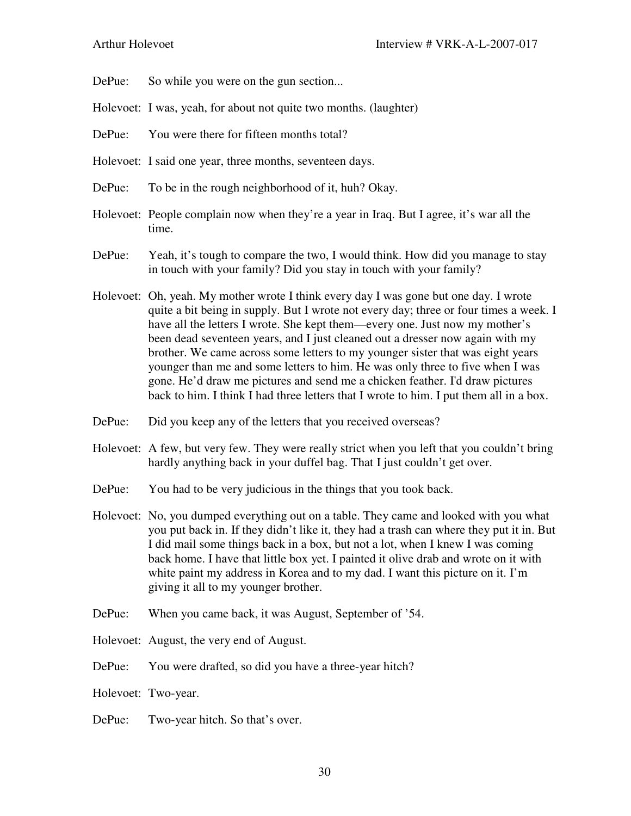- DePue: So while you were on the gun section...
- Holevoet: I was, yeah, for about not quite two months. (laughter)
- DePue: You were there for fifteen months total?
- Holevoet: I said one year, three months, seventeen days.
- DePue: To be in the rough neighborhood of it, huh? Okay.
- Holevoet: People complain now when they're a year in Iraq. But I agree, it's war all the time.
- DePue: Yeah, it's tough to compare the two, I would think. How did you manage to stay in touch with your family? Did you stay in touch with your family?
- Holevoet: Oh, yeah. My mother wrote I think every day I was gone but one day. I wrote quite a bit being in supply. But I wrote not every day; three or four times a week. I have all the letters I wrote. She kept them—every one. Just now my mother's been dead seventeen years, and I just cleaned out a dresser now again with my brother. We came across some letters to my younger sister that was eight years younger than me and some letters to him. He was only three to five when I was gone. He'd draw me pictures and send me a chicken feather. I'd draw pictures back to him. I think I had three letters that I wrote to him. I put them all in a box.
- DePue: Did you keep any of the letters that you received overseas?
- Holevoet: A few, but very few. They were really strict when you left that you couldn't bring hardly anything back in your duffel bag. That I just couldn't get over.
- DePue: You had to be very judicious in the things that you took back.
- Holevoet: No, you dumped everything out on a table. They came and looked with you what you put back in. If they didn't like it, they had a trash can where they put it in. But I did mail some things back in a box, but not a lot, when I knew I was coming back home. I have that little box yet. I painted it olive drab and wrote on it with white paint my address in Korea and to my dad. I want this picture on it. I'm giving it all to my younger brother.
- DePue: When you came back, it was August, September of '54.
- Holevoet: August, the very end of August.
- DePue: You were drafted, so did you have a three-year hitch?
- Holevoet: Two-year.
- DePue: Two-year hitch. So that's over.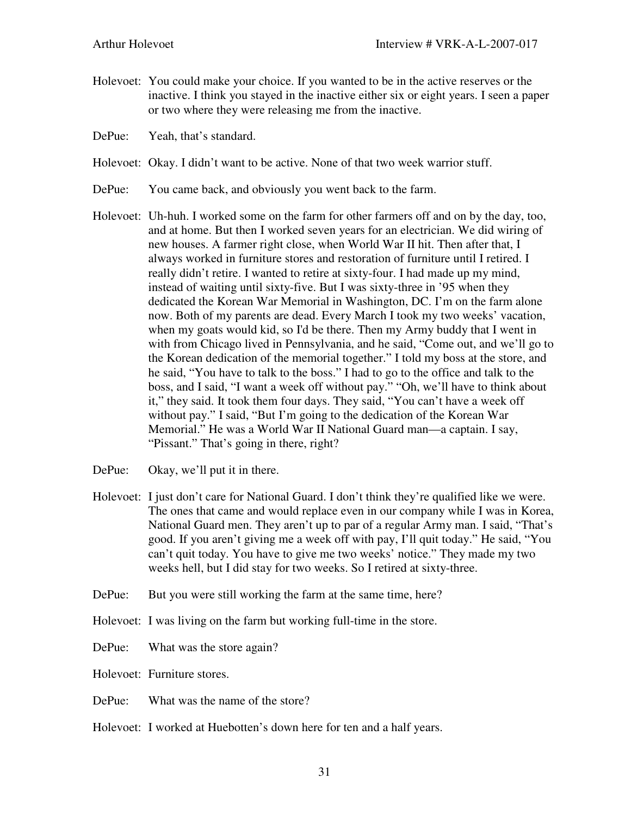- Holevoet: You could make your choice. If you wanted to be in the active reserves or the inactive. I think you stayed in the inactive either six or eight years. I seen a paper or two where they were releasing me from the inactive.
- DePue: Yeah, that's standard.
- Holevoet: Okay. I didn't want to be active. None of that two week warrior stuff.
- DePue: You came back, and obviously you went back to the farm.
- Holevoet: Uh-huh. I worked some on the farm for other farmers off and on by the day, too, and at home. But then I worked seven years for an electrician. We did wiring of new houses. A farmer right close, when World War II hit. Then after that, I always worked in furniture stores and restoration of furniture until I retired. I really didn't retire. I wanted to retire at sixty-four. I had made up my mind, instead of waiting until sixty-five. But I was sixty-three in '95 when they dedicated the Korean War Memorial in Washington, DC. I'm on the farm alone now. Both of my parents are dead. Every March I took my two weeks' vacation, when my goats would kid, so I'd be there. Then my Army buddy that I went in with from Chicago lived in Pennsylvania, and he said, "Come out, and we'll go to the Korean dedication of the memorial together." I told my boss at the store, and he said, "You have to talk to the boss." I had to go to the office and talk to the boss, and I said, "I want a week off without pay." "Oh, we'll have to think about it," they said. It took them four days. They said, "You can't have a week off without pay." I said, "But I'm going to the dedication of the Korean War Memorial." He was a World War II National Guard man—a captain. I say, "Pissant." That's going in there, right?
- DePue: Okay, we'll put it in there.
- Holevoet: I just don't care for National Guard. I don't think they're qualified like we were. The ones that came and would replace even in our company while I was in Korea, National Guard men. They aren't up to par of a regular Army man. I said, "That's good. If you aren't giving me a week off with pay, I'll quit today." He said, "You can't quit today. You have to give me two weeks' notice." They made my two weeks hell, but I did stay for two weeks. So I retired at sixty-three.
- DePue: But you were still working the farm at the same time, here?
- Holevoet: I was living on the farm but working full-time in the store.
- DePue: What was the store again?
- Holevoet: Furniture stores.
- DePue: What was the name of the store?
- Holevoet: I worked at Huebotten's down here for ten and a half years.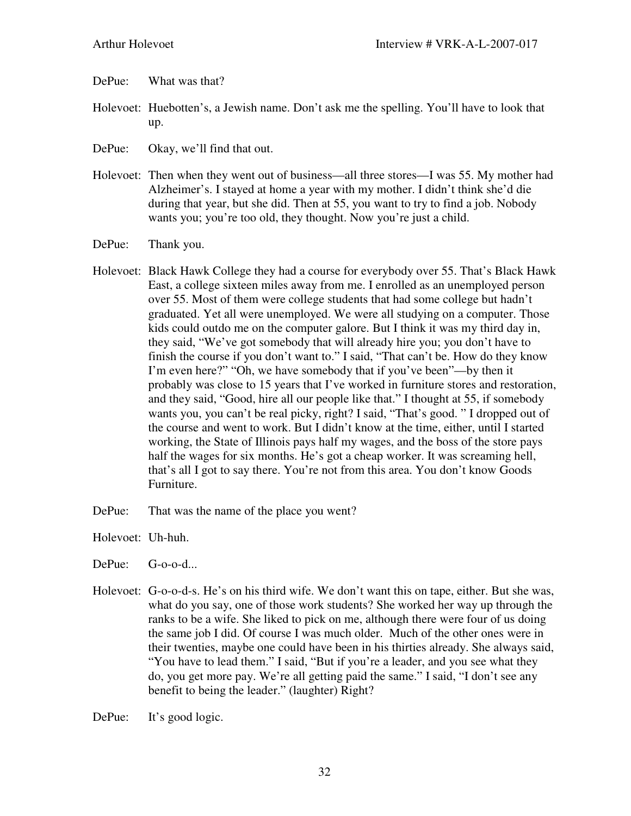- DePue: What was that?
- Holevoet: Huebotten's, a Jewish name. Don't ask me the spelling. You'll have to look that up.
- DePue: Okay, we'll find that out.
- Holevoet: Then when they went out of business—all three stores—I was 55. My mother had Alzheimer's. I stayed at home a year with my mother. I didn't think she'd die during that year, but she did. Then at 55, you want to try to find a job. Nobody wants you; you're too old, they thought. Now you're just a child.
- DePue: Thank you.
- Holevoet: Black Hawk College they had a course for everybody over 55. That's Black Hawk East, a college sixteen miles away from me. I enrolled as an unemployed person over 55. Most of them were college students that had some college but hadn't graduated. Yet all were unemployed. We were all studying on a computer. Those kids could outdo me on the computer galore. But I think it was my third day in, they said, "We've got somebody that will already hire you; you don't have to finish the course if you don't want to." I said, "That can't be. How do they know I'm even here?" "Oh, we have somebody that if you've been"—by then it probably was close to 15 years that I've worked in furniture stores and restoration, and they said, "Good, hire all our people like that." I thought at 55, if somebody wants you, you can't be real picky, right? I said, "That's good. " I dropped out of the course and went to work. But I didn't know at the time, either, until I started working, the State of Illinois pays half my wages, and the boss of the store pays half the wages for six months. He's got a cheap worker. It was screaming hell, that's all I got to say there. You're not from this area. You don't know Goods Furniture.
- DePue: That was the name of the place you went?

Holevoet: Uh-huh.

- DePue: G-o-o-d...
- Holevoet: G-o-o-d-s. He's on his third wife. We don't want this on tape, either. But she was, what do you say, one of those work students? She worked her way up through the ranks to be a wife. She liked to pick on me, although there were four of us doing the same job I did. Of course I was much older. Much of the other ones were in their twenties, maybe one could have been in his thirties already. She always said, "You have to lead them." I said, "But if you're a leader, and you see what they do, you get more pay. We're all getting paid the same." I said, "I don't see any benefit to being the leader." (laughter) Right?

DePue: It's good logic.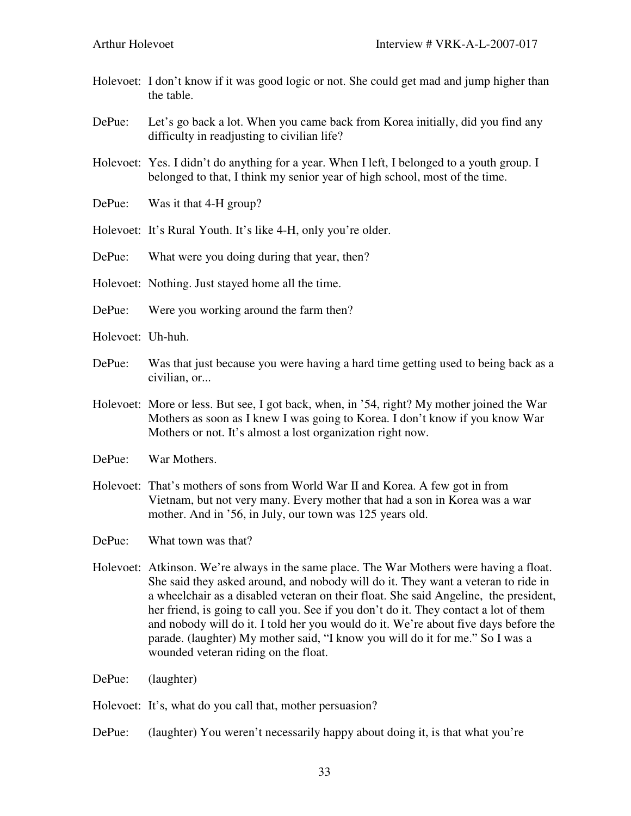- Holevoet: I don't know if it was good logic or not. She could get mad and jump higher than the table.
- DePue: Let's go back a lot. When you came back from Korea initially, did you find any difficulty in readjusting to civilian life?
- Holevoet: Yes. I didn't do anything for a year. When I left, I belonged to a youth group. I belonged to that, I think my senior year of high school, most of the time.
- DePue: Was it that 4-H group?
- Holevoet: It's Rural Youth. It's like 4-H, only you're older.
- DePue: What were you doing during that year, then?
- Holevoet: Nothing. Just stayed home all the time.
- DePue: Were you working around the farm then?
- Holevoet: Uh-huh.
- DePue: Was that just because you were having a hard time getting used to being back as a civilian, or...
- Holevoet: More or less. But see, I got back, when, in '54, right? My mother joined the War Mothers as soon as I knew I was going to Korea. I don't know if you know War Mothers or not. It's almost a lost organization right now.
- DePue: War Mothers.
- Holevoet: That's mothers of sons from World War II and Korea. A few got in from Vietnam, but not very many. Every mother that had a son in Korea was a war mother. And in '56, in July, our town was 125 years old.
- DePue: What town was that?
- Holevoet: Atkinson. We're always in the same place. The War Mothers were having a float. She said they asked around, and nobody will do it. They want a veteran to ride in a wheelchair as a disabled veteran on their float. She said Angeline, the president, her friend, is going to call you. See if you don't do it. They contact a lot of them and nobody will do it. I told her you would do it. We're about five days before the parade. (laughter) My mother said, "I know you will do it for me." So I was a wounded veteran riding on the float.
- DePue: (laughter)
- Holevoet: It's, what do you call that, mother persuasion?
- DePue: (laughter) You weren't necessarily happy about doing it, is that what you're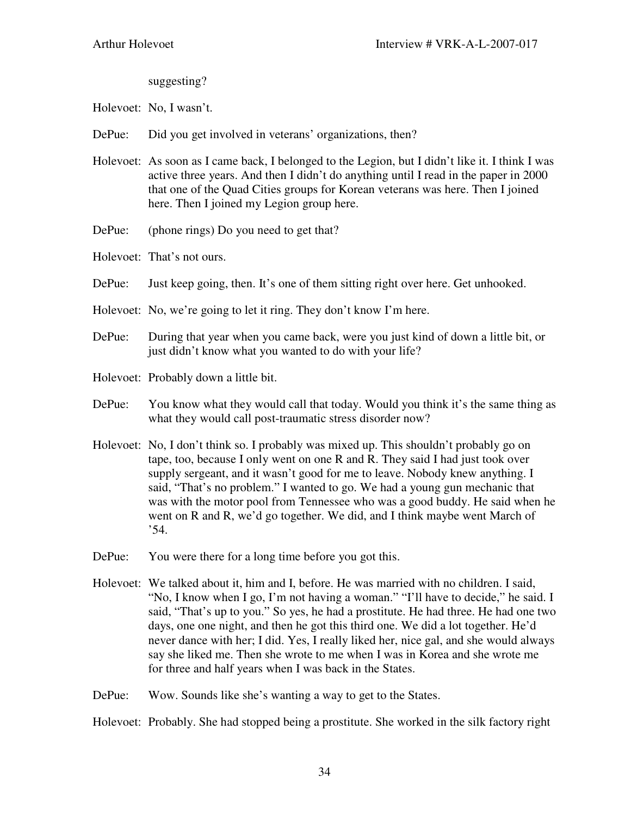suggesting?

Holevoet: No, I wasn't.

- DePue: Did you get involved in veterans' organizations, then?
- Holevoet: As soon as I came back, I belonged to the Legion, but I didn't like it. I think I was active three years. And then I didn't do anything until I read in the paper in 2000 that one of the Quad Cities groups for Korean veterans was here. Then I joined here. Then I joined my Legion group here.
- DePue: (phone rings) Do you need to get that?
- Holevoet: That's not ours.
- DePue: Just keep going, then. It's one of them sitting right over here. Get unhooked.
- Holevoet: No, we're going to let it ring. They don't know I'm here.
- DePue: During that year when you came back, were you just kind of down a little bit, or just didn't know what you wanted to do with your life?
- Holevoet: Probably down a little bit.
- DePue: You know what they would call that today. Would you think it's the same thing as what they would call post-traumatic stress disorder now?
- Holevoet: No, I don't think so. I probably was mixed up. This shouldn't probably go on tape, too, because I only went on one R and R. They said I had just took over supply sergeant, and it wasn't good for me to leave. Nobody knew anything. I said, "That's no problem." I wanted to go. We had a young gun mechanic that was with the motor pool from Tennessee who was a good buddy. He said when he went on R and R, we'd go together. We did, and I think maybe went March of '54.
- DePue: You were there for a long time before you got this.
- Holevoet: We talked about it, him and I, before. He was married with no children. I said, "No, I know when I go, I'm not having a woman." "I'll have to decide," he said. I said, "That's up to you." So yes, he had a prostitute. He had three. He had one two days, one one night, and then he got this third one. We did a lot together. He'd never dance with her; I did. Yes, I really liked her, nice gal, and she would always say she liked me. Then she wrote to me when I was in Korea and she wrote me for three and half years when I was back in the States.
- DePue: Wow. Sounds like she's wanting a way to get to the States.

Holevoet: Probably. She had stopped being a prostitute. She worked in the silk factory right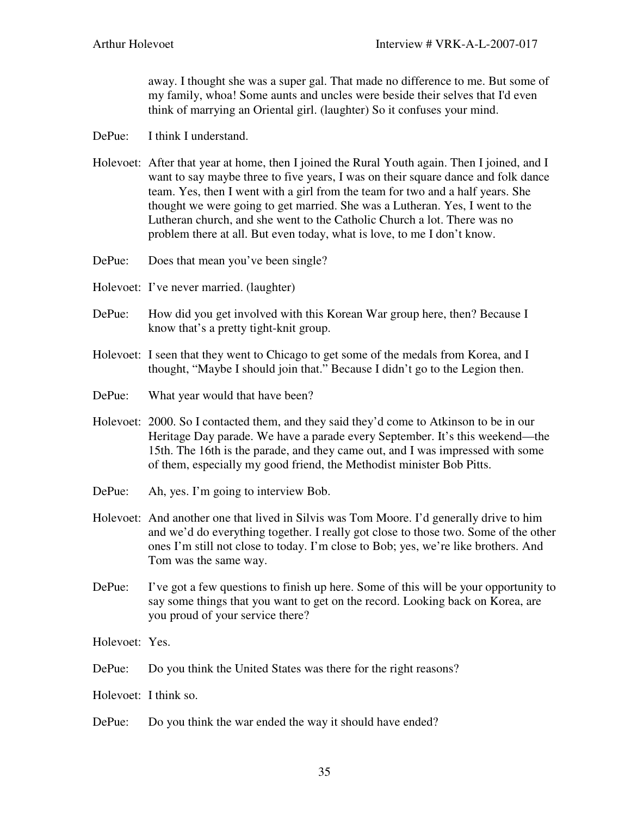away. I thought she was a super gal. That made no difference to me. But some of my family, whoa! Some aunts and uncles were beside their selves that I'd even think of marrying an Oriental girl. (laughter) So it confuses your mind.

- DePue: I think I understand.
- Holevoet: After that year at home, then I joined the Rural Youth again. Then I joined, and I want to say maybe three to five years, I was on their square dance and folk dance team. Yes, then I went with a girl from the team for two and a half years. She thought we were going to get married. She was a Lutheran. Yes, I went to the Lutheran church, and she went to the Catholic Church a lot. There was no problem there at all. But even today, what is love, to me I don't know.
- DePue: Does that mean you've been single?
- Holevoet: I've never married. (laughter)
- DePue: How did you get involved with this Korean War group here, then? Because I know that's a pretty tight-knit group.
- Holevoet: I seen that they went to Chicago to get some of the medals from Korea, and I thought, "Maybe I should join that." Because I didn't go to the Legion then.
- DePue: What year would that have been?
- Holevoet: 2000. So I contacted them, and they said they'd come to Atkinson to be in our Heritage Day parade. We have a parade every September. It's this weekend—the 15th. The 16th is the parade, and they came out, and I was impressed with some of them, especially my good friend, the Methodist minister Bob Pitts.
- DePue: Ah, yes. I'm going to interview Bob.
- Holevoet: And another one that lived in Silvis was Tom Moore. I'd generally drive to him and we'd do everything together. I really got close to those two. Some of the other ones I'm still not close to today. I'm close to Bob; yes, we're like brothers. And Tom was the same way.
- DePue: I've got a few questions to finish up here. Some of this will be your opportunity to say some things that you want to get on the record. Looking back on Korea, are you proud of your service there?

Holevoet: Yes.

- DePue: Do you think the United States was there for the right reasons?
- Holevoet: I think so.
- DePue: Do you think the war ended the way it should have ended?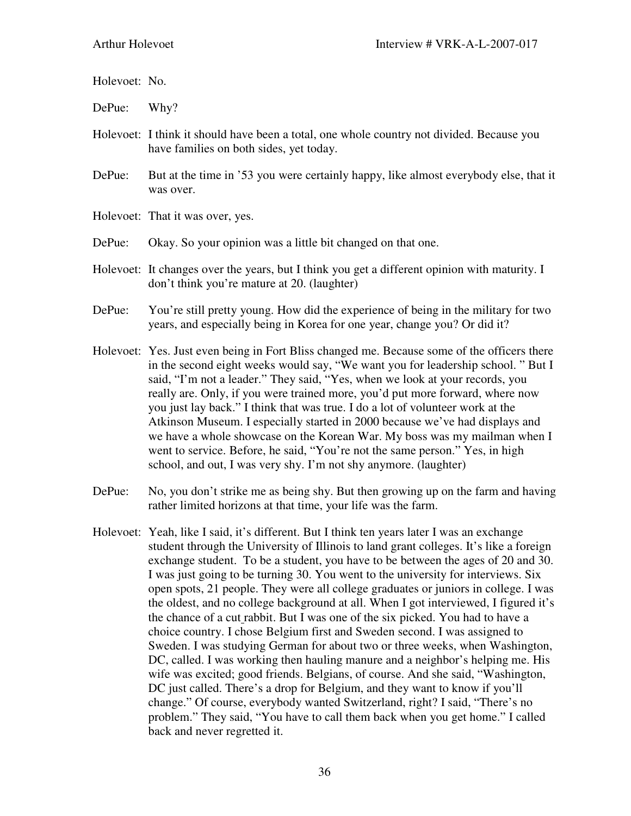Holevoet: No.

DePue: Why?

- Holevoet: I think it should have been a total, one whole country not divided. Because you have families on both sides, yet today.
- DePue: But at the time in '53 you were certainly happy, like almost everybody else, that it was over.
- Holevoet: That it was over, yes.

DePue: Okay. So your opinion was a little bit changed on that one.

- Holevoet: It changes over the years, but I think you get a different opinion with maturity. I don't think you're mature at 20. (laughter)
- DePue: You're still pretty young. How did the experience of being in the military for two years, and especially being in Korea for one year, change you? Or did it?
- Holevoet: Yes. Just even being in Fort Bliss changed me. Because some of the officers there in the second eight weeks would say, "We want you for leadership school. " But I said, "I'm not a leader." They said, "Yes, when we look at your records, you really are. Only, if you were trained more, you'd put more forward, where now you just lay back." I think that was true. I do a lot of volunteer work at the Atkinson Museum. I especially started in 2000 because we've had displays and we have a whole showcase on the Korean War. My boss was my mailman when I went to service. Before, he said, "You're not the same person." Yes, in high school, and out, I was very shy. I'm not shy anymore. (laughter)
- DePue: No, you don't strike me as being shy. But then growing up on the farm and having rather limited horizons at that time, your life was the farm.
- Holevoet: Yeah, like I said, it's different. But I think ten years later I was an exchange student through the University of Illinois to land grant colleges. It's like a foreign exchange student. To be a student, you have to be between the ages of 20 and 30. I was just going to be turning 30. You went to the university for interviews. Six open spots, 21 people. They were all college graduates or juniors in college. I was the oldest, and no college background at all. When I got interviewed, I figured it's the chance of a cut rabbit. But I was one of the six picked. You had to have a choice country. I chose Belgium first and Sweden second. I was assigned to Sweden. I was studying German for about two or three weeks, when Washington, DC, called. I was working then hauling manure and a neighbor's helping me. His wife was excited; good friends. Belgians, of course. And she said, "Washington, DC just called. There's a drop for Belgium, and they want to know if you'll change." Of course, everybody wanted Switzerland, right? I said, "There's no problem." They said, "You have to call them back when you get home." I called back and never regretted it.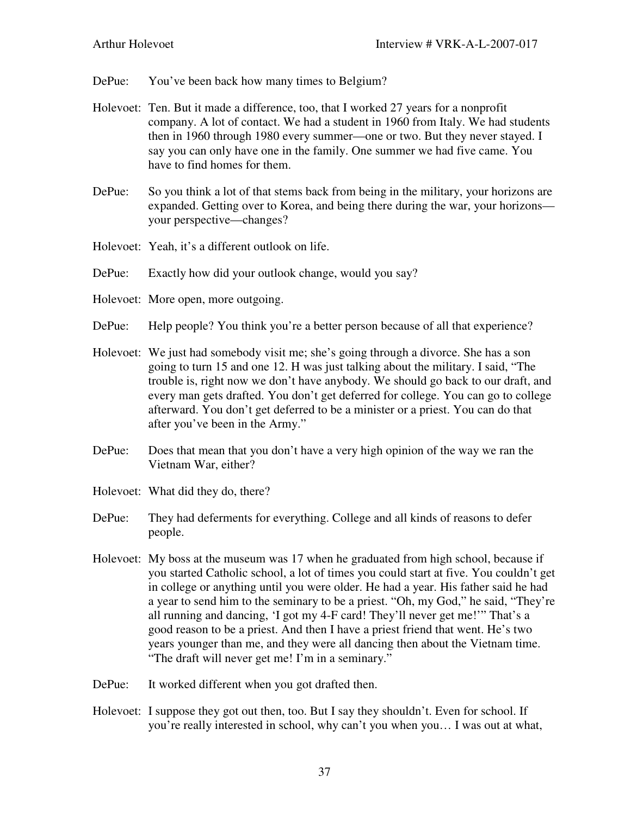DePue: You've been back how many times to Belgium?

- Holevoet: Ten. But it made a difference, too, that I worked 27 years for a nonprofit company. A lot of contact. We had a student in 1960 from Italy. We had students then in 1960 through 1980 every summer—one or two. But they never stayed. I say you can only have one in the family. One summer we had five came. You have to find homes for them.
- DePue: So you think a lot of that stems back from being in the military, your horizons are expanded. Getting over to Korea, and being there during the war, your horizons your perspective—changes?
- Holevoet: Yeah, it's a different outlook on life.
- DePue: Exactly how did your outlook change, would you say?
- Holevoet: More open, more outgoing.
- DePue: Help people? You think you're a better person because of all that experience?
- Holevoet: We just had somebody visit me; she's going through a divorce. She has a son going to turn 15 and one 12. H was just talking about the military. I said, "The trouble is, right now we don't have anybody. We should go back to our draft, and every man gets drafted. You don't get deferred for college. You can go to college afterward. You don't get deferred to be a minister or a priest. You can do that after you've been in the Army."
- DePue: Does that mean that you don't have a very high opinion of the way we ran the Vietnam War, either?
- Holevoet: What did they do, there?
- DePue: They had deferments for everything. College and all kinds of reasons to defer people.
- Holevoet: My boss at the museum was 17 when he graduated from high school, because if you started Catholic school, a lot of times you could start at five. You couldn't get in college or anything until you were older. He had a year. His father said he had a year to send him to the seminary to be a priest. "Oh, my God," he said, "They're all running and dancing, 'I got my 4-F card! They'll never get me!'" That's a good reason to be a priest. And then I have a priest friend that went. He's two years younger than me, and they were all dancing then about the Vietnam time. "The draft will never get me! I'm in a seminary."
- DePue: It worked different when you got drafted then.
- Holevoet: I suppose they got out then, too. But I say they shouldn't. Even for school. If you're really interested in school, why can't you when you… I was out at what,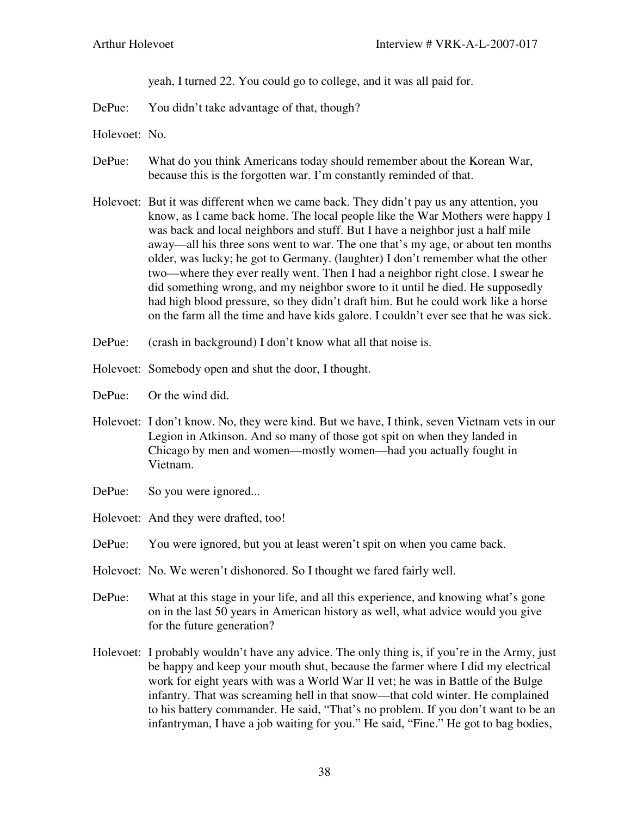yeah, I turned 22. You could go to college, and it was all paid for.

DePue: You didn't take advantage of that, though?

- Holevoet: No.
- DePue: What do you think Americans today should remember about the Korean War, because this is the forgotten war. I'm constantly reminded of that.
- Holevoet: But it was different when we came back. They didn't pay us any attention, you know, as I came back home. The local people like the War Mothers were happy I was back and local neighbors and stuff. But I have a neighbor just a half mile away—all his three sons went to war. The one that's my age, or about ten months older, was lucky; he got to Germany. (laughter) I don't remember what the other two—where they ever really went. Then I had a neighbor right close. I swear he did something wrong, and my neighbor swore to it until he died. He supposedly had high blood pressure, so they didn't draft him. But he could work like a horse on the farm all the time and have kids galore. I couldn't ever see that he was sick.
- DePue: (crash in background) I don't know what all that noise is.
- Holevoet: Somebody open and shut the door, I thought.
- DePue: Or the wind did.
- Holevoet: I don't know. No, they were kind. But we have, I think, seven Vietnam vets in our Legion in Atkinson. And so many of those got spit on when they landed in Chicago by men and women—mostly women—had you actually fought in Vietnam.
- DePue: So you were ignored...
- Holevoet: And they were drafted, too!
- DePue: You were ignored, but you at least weren't spit on when you came back.
- Holevoet: No. We weren't dishonored. So I thought we fared fairly well.
- DePue: What at this stage in your life, and all this experience, and knowing what's gone on in the last 50 years in American history as well, what advice would you give for the future generation?
- Holevoet: I probably wouldn't have any advice. The only thing is, if you're in the Army, just be happy and keep your mouth shut, because the farmer where I did my electrical work for eight years with was a World War II vet; he was in Battle of the Bulge infantry. That was screaming hell in that snow—that cold winter. He complained to his battery commander. He said, "That's no problem. If you don't want to be an infantryman, I have a job waiting for you." He said, "Fine." He got to bag bodies,